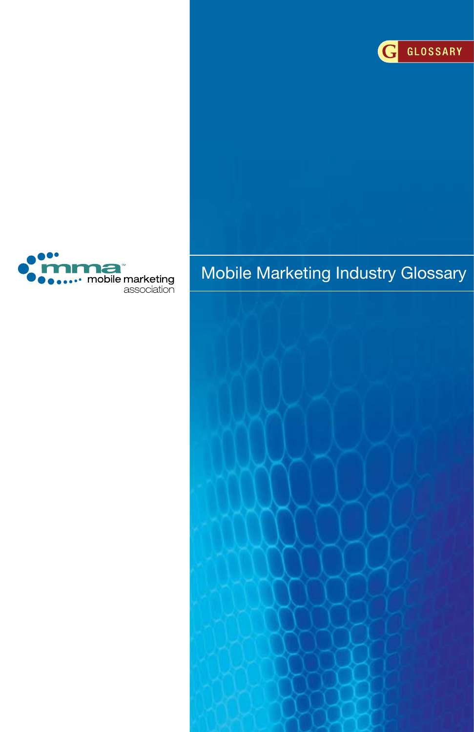



# Mobile Marketing Industry Glossary

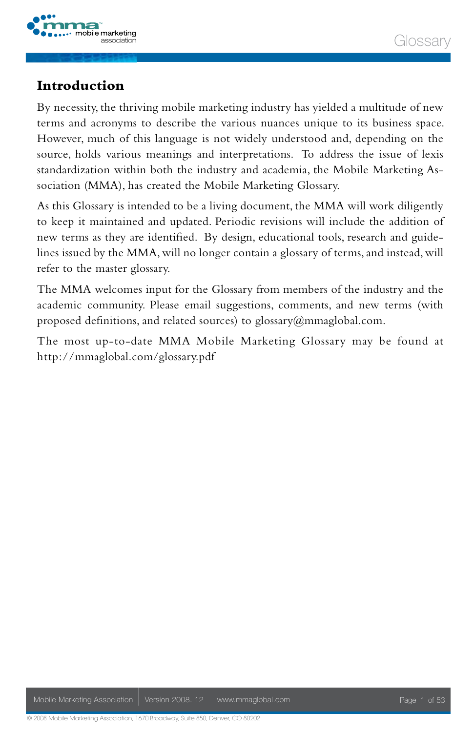

### Glossan

#### **Introduction**

By necessity, the thriving mobile marketing industry has yielded a multitude of new terms and acronyms to describe the various nuances unique to its business space. However, much of this language is not widely understood and, depending on the source, holds various meanings and interpretations. To address the issue of lexis standardization within both the industry and academia, the Mobile Marketing Association (MMA), has created the Mobile Marketing Glossary.

As this Glossary is intended to be a living document, the MMA will work diligently to keep it maintained and updated. Periodic revisions will include the addition of new terms as they are identified. By design, educational tools, research and guidelines issued by the MMA, will no longer contain a glossary of terms, and instead, will refer to the master glossary.

The MMA welcomes input for the Glossary from members of the industry and the academic community. Please email suggestions, comments, and new terms (with proposed definitions, and related sources) to glossary@mmaglobal.com.

The most up-to-date MMA Mobile Marketing Glossary may be found at http://mmaglobal.com/glossary.pdf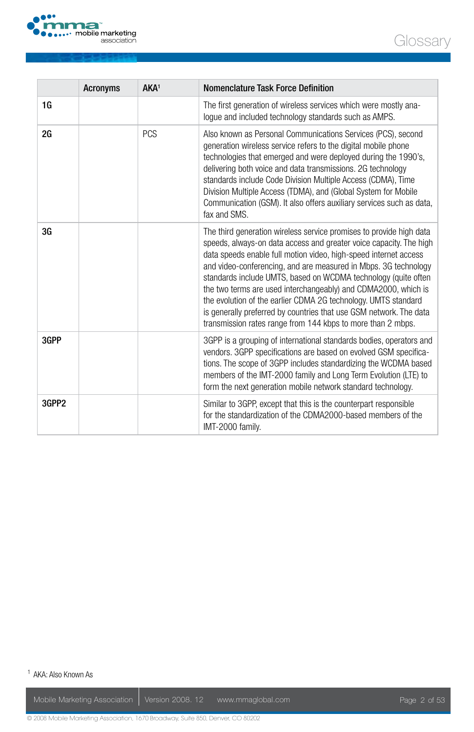

|       | <b>Acronyms</b> | AKA <sup>1</sup> | Nomenclature Task Force Definition                                                                                                                                                                                                                                                                                                                                                                                                                                                                                                                                                                                          |
|-------|-----------------|------------------|-----------------------------------------------------------------------------------------------------------------------------------------------------------------------------------------------------------------------------------------------------------------------------------------------------------------------------------------------------------------------------------------------------------------------------------------------------------------------------------------------------------------------------------------------------------------------------------------------------------------------------|
| 1G    |                 |                  | The first generation of wireless services which were mostly ana-<br>logue and included technology standards such as AMPS.                                                                                                                                                                                                                                                                                                                                                                                                                                                                                                   |
| 2G    |                 | <b>PCS</b>       | Also known as Personal Communications Services (PCS), second<br>generation wireless service refers to the digital mobile phone<br>technologies that emerged and were deployed during the 1990's,<br>delivering both voice and data transmissions. 2G technology<br>standards include Code Division Multiple Access (CDMA), Time<br>Division Multiple Access (TDMA), and (Global System for Mobile<br>Communication (GSM). It also offers auxiliary services such as data,<br>fax and SMS.                                                                                                                                   |
| 3G    |                 |                  | The third generation wireless service promises to provide high data<br>speeds, always-on data access and greater voice capacity. The high<br>data speeds enable full motion video, high-speed internet access<br>and video-conferencing, and are measured in Mbps. 3G technology<br>standards include UMTS, based on WCDMA technology (quite often<br>the two terms are used interchangeably) and CDMA2000, which is<br>the evolution of the earlier CDMA 2G technology. UMTS standard<br>is generally preferred by countries that use GSM network. The data<br>transmission rates range from 144 kbps to more than 2 mbps. |
| 3GPP  |                 |                  | 3GPP is a grouping of international standards bodies, operators and<br>vendors. 3GPP specifications are based on evolved GSM specifica-<br>tions. The scope of 3GPP includes standardizing the WCDMA based<br>members of the IMT-2000 family and Long Term Evolution (LTE) to<br>form the next generation mobile network standard technology.                                                                                                                                                                                                                                                                               |
| 3GPP2 |                 |                  | Similar to 3GPP, except that this is the counterpart responsible<br>for the standardization of the CDMA2000-based members of the<br>IMT-2000 family.                                                                                                                                                                                                                                                                                                                                                                                                                                                                        |

1 AKA: Also Known As

**Glossary**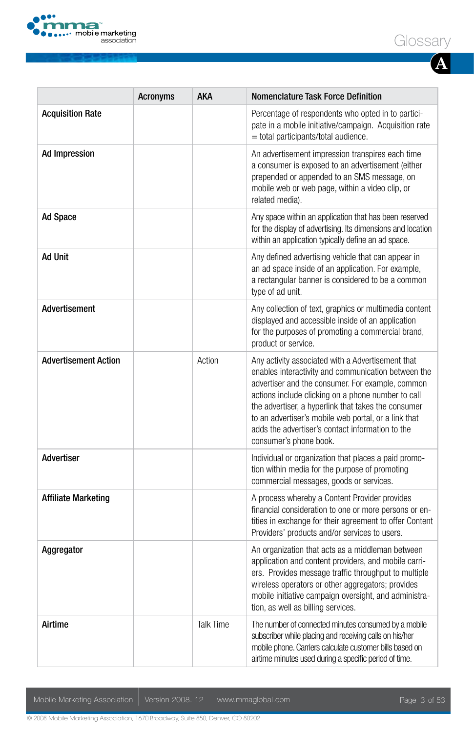

|                             | <b>Acronyms</b> | AKA              | <b>Nomenclature Task Force Definition</b>                                                                                                                                                                                                                                                                                                                                                                       |
|-----------------------------|-----------------|------------------|-----------------------------------------------------------------------------------------------------------------------------------------------------------------------------------------------------------------------------------------------------------------------------------------------------------------------------------------------------------------------------------------------------------------|
| <b>Acquisition Rate</b>     |                 |                  | Percentage of respondents who opted in to partici-<br>pate in a mobile initiative/campaign. Acquisition rate<br>= total participants/total audience.                                                                                                                                                                                                                                                            |
| <b>Ad Impression</b>        |                 |                  | An advertisement impression transpires each time<br>a consumer is exposed to an advertisement (either<br>prepended or appended to an SMS message, on<br>mobile web or web page, within a video clip, or<br>related media).                                                                                                                                                                                      |
| <b>Ad Space</b>             |                 |                  | Any space within an application that has been reserved<br>for the display of advertising. Its dimensions and location<br>within an application typically define an ad space.                                                                                                                                                                                                                                    |
| <b>Ad Unit</b>              |                 |                  | Any defined advertising vehicle that can appear in<br>an ad space inside of an application. For example,<br>a rectangular banner is considered to be a common<br>type of ad unit.                                                                                                                                                                                                                               |
| <b>Advertisement</b>        |                 |                  | Any collection of text, graphics or multimedia content<br>displayed and accessible inside of an application<br>for the purposes of promoting a commercial brand,<br>product or service.                                                                                                                                                                                                                         |
| <b>Advertisement Action</b> |                 | Action           | Any activity associated with a Advertisement that<br>enables interactivity and communication between the<br>advertiser and the consumer. For example, common<br>actions include clicking on a phone number to call<br>the advertiser, a hyperlink that takes the consumer<br>to an advertiser's mobile web portal, or a link that<br>adds the advertiser's contact information to the<br>consumer's phone book. |
| Advertiser                  |                 |                  | Individual or organization that places a paid promo-<br>tion within media for the purpose of promoting<br>commercial messages, goods or services.                                                                                                                                                                                                                                                               |
| <b>Affiliate Marketing</b>  |                 |                  | A process whereby a Content Provider provides<br>financial consideration to one or more persons or en-<br>tities in exchange for their agreement to offer Content<br>Providers' products and/or services to users.                                                                                                                                                                                              |
| Aggregator                  |                 |                  | An organization that acts as a middleman between<br>application and content providers, and mobile carri-<br>ers. Provides message traffic throughput to multiple<br>wireless operators or other aggregators; provides<br>mobile initiative campaign oversight, and administra-<br>tion, as well as billing services.                                                                                            |
| Airtime                     |                 | <b>Talk Time</b> | The number of connected minutes consumed by a mobile<br>subscriber while placing and receiving calls on his/her<br>mobile phone. Carriers calculate customer bills based on<br>airtime minutes used during a specific period of time.                                                                                                                                                                           |

Mobile Marketing Association | Version 2008. 12 www.mmaglobal.com | Next Page 3 of 53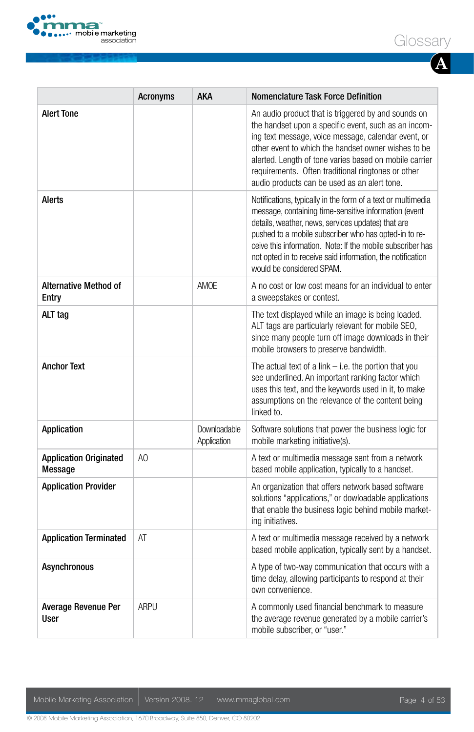

|                                          | <b>Acronyms</b> | <b>AKA</b>                  | Nomenclature Task Force Definition                                                                                                                                                                                                                                                                                                                                                            |
|------------------------------------------|-----------------|-----------------------------|-----------------------------------------------------------------------------------------------------------------------------------------------------------------------------------------------------------------------------------------------------------------------------------------------------------------------------------------------------------------------------------------------|
| <b>Alert Tone</b>                        |                 |                             | An audio product that is triggered by and sounds on<br>the handset upon a specific event, such as an incom-<br>ing text message, voice message, calendar event, or<br>other event to which the handset owner wishes to be<br>alerted. Length of tone varies based on mobile carrier<br>requirements. Often traditional ringtones or other<br>audio products can be used as an alert tone.     |
| Alerts                                   |                 |                             | Notifications, typically in the form of a text or multimedia<br>message, containing time-sensitive information (event<br>details, weather, news, services updates) that are<br>pushed to a mobile subscriber who has opted-in to re-<br>ceive this information. Note: If the mobile subscriber has<br>not opted in to receive said information, the notification<br>would be considered SPAM. |
| <b>Alternative Method of</b><br>Entry    |                 | AMOE                        | A no cost or low cost means for an individual to enter<br>a sweepstakes or contest.                                                                                                                                                                                                                                                                                                           |
| ALT tag                                  |                 |                             | The text displayed while an image is being loaded.<br>ALT tags are particularly relevant for mobile SEO,<br>since many people turn off image downloads in their<br>mobile browsers to preserve bandwidth.                                                                                                                                                                                     |
| <b>Anchor Text</b>                       |                 |                             | The actual text of a link $-$ i.e. the portion that you<br>see underlined. An important ranking factor which<br>uses this text, and the keywords used in it, to make<br>assumptions on the relevance of the content being<br>linked to.                                                                                                                                                       |
| Application                              |                 | Downloadable<br>Application | Software solutions that power the business logic for<br>mobile marketing initiative(s).                                                                                                                                                                                                                                                                                                       |
| <b>Application Originated</b><br>Message | A <sub>O</sub>  |                             | A text or multimedia message sent from a network<br>based mobile application, typically to a handset.                                                                                                                                                                                                                                                                                         |
| <b>Application Provider</b>              |                 |                             | An organization that offers network based software<br>solutions "applications," or dowloadable applications<br>that enable the business logic behind mobile market-<br>ing initiatives.                                                                                                                                                                                                       |
| <b>Application Terminated</b>            | AT              |                             | A text or multimedia message received by a network<br>based mobile application, typically sent by a handset.                                                                                                                                                                                                                                                                                  |
| Asynchronous                             |                 |                             | A type of two-way communication that occurs with a<br>time delay, allowing participants to respond at their<br>own convenience.                                                                                                                                                                                                                                                               |
| Average Revenue Per<br>User              | ARPU            |                             | A commonly used financial benchmark to measure<br>the average revenue generated by a mobile carrier's<br>mobile subscriber, or "user."                                                                                                                                                                                                                                                        |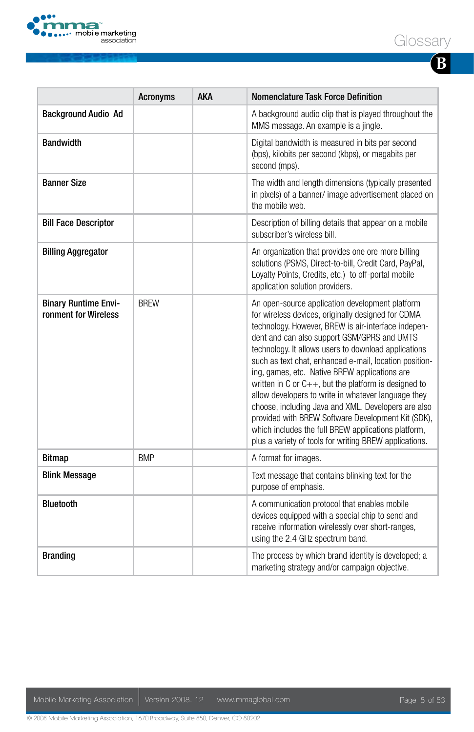



| I |  |
|---|--|

|                                                     | <b>Acronyms</b> | AKA | Nomenclature Task Force Definition                                                                                                                                                                                                                                                                                                                                                                                                                                                                                                                                                                                                                                                                                                |
|-----------------------------------------------------|-----------------|-----|-----------------------------------------------------------------------------------------------------------------------------------------------------------------------------------------------------------------------------------------------------------------------------------------------------------------------------------------------------------------------------------------------------------------------------------------------------------------------------------------------------------------------------------------------------------------------------------------------------------------------------------------------------------------------------------------------------------------------------------|
| <b>Background Audio Ad</b>                          |                 |     | A background audio clip that is played throughout the<br>MMS message. An example is a jingle.                                                                                                                                                                                                                                                                                                                                                                                                                                                                                                                                                                                                                                     |
| <b>Bandwidth</b>                                    |                 |     | Digital bandwidth is measured in bits per second<br>(bps), kilobits per second (kbps), or megabits per<br>second (mps).                                                                                                                                                                                                                                                                                                                                                                                                                                                                                                                                                                                                           |
| <b>Banner Size</b>                                  |                 |     | The width and length dimensions (typically presented<br>in pixels) of a banner/ image advertisement placed on<br>the mobile web.                                                                                                                                                                                                                                                                                                                                                                                                                                                                                                                                                                                                  |
| <b>Bill Face Descriptor</b>                         |                 |     | Description of billing details that appear on a mobile<br>subscriber's wireless bill.                                                                                                                                                                                                                                                                                                                                                                                                                                                                                                                                                                                                                                             |
| <b>Billing Aggregator</b>                           |                 |     | An organization that provides one ore more billing<br>solutions (PSMS, Direct-to-bill, Credit Card, PayPal,<br>Loyalty Points, Credits, etc.) to off-portal mobile<br>application solution providers.                                                                                                                                                                                                                                                                                                                                                                                                                                                                                                                             |
| <b>Binary Runtime Envi-</b><br>ronment for Wireless | <b>BREW</b>     |     | An open-source application development platform<br>for wireless devices, originally designed for CDMA<br>technology. However, BREW is air-interface indepen-<br>dent and can also support GSM/GPRS and UMTS<br>technology. It allows users to download applications<br>such as text chat, enhanced e-mail, location position-<br>ing, games, etc. Native BREW applications are<br>written in C or $C_{++}$ , but the platform is designed to<br>allow developers to write in whatever language they<br>choose, including Java and XML. Developers are also<br>provided with BREW Software Development Kit (SDK),<br>which includes the full BREW applications platform,<br>plus a variety of tools for writing BREW applications. |
| <b>Bitmap</b>                                       | <b>BMP</b>      |     | A format for images.                                                                                                                                                                                                                                                                                                                                                                                                                                                                                                                                                                                                                                                                                                              |
| <b>Blink Message</b>                                |                 |     | Text message that contains blinking text for the<br>purpose of emphasis.                                                                                                                                                                                                                                                                                                                                                                                                                                                                                                                                                                                                                                                          |
| <b>Bluetooth</b>                                    |                 |     | A communication protocol that enables mobile<br>devices equipped with a special chip to send and<br>receive information wirelessly over short-ranges,<br>using the 2.4 GHz spectrum band.                                                                                                                                                                                                                                                                                                                                                                                                                                                                                                                                         |
| <b>Branding</b>                                     |                 |     | The process by which brand identity is developed; a<br>marketing strategy and/or campaign objective.                                                                                                                                                                                                                                                                                                                                                                                                                                                                                                                                                                                                                              |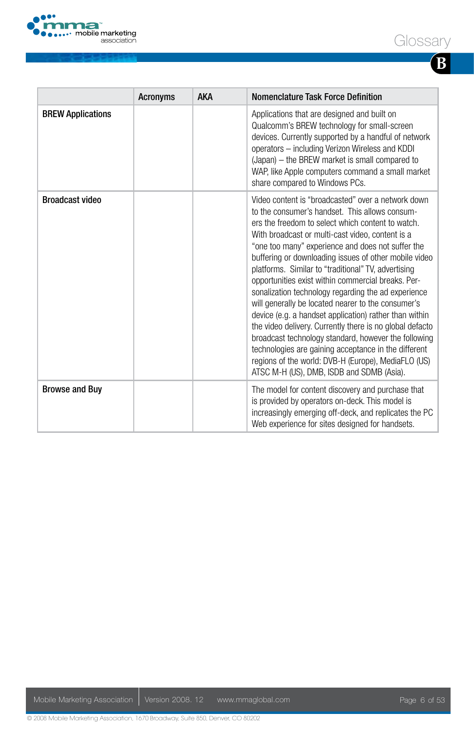

| ł<br>I<br>I |  |
|-------------|--|

|                          | <b>Acronyms</b> | <b>AKA</b> | Nomenclature Task Force Definition                                                                                                                                                                                                                                                                                                                                                                                                                                                                                                                                                                                                                                                                                                                                                                                                                                                              |
|--------------------------|-----------------|------------|-------------------------------------------------------------------------------------------------------------------------------------------------------------------------------------------------------------------------------------------------------------------------------------------------------------------------------------------------------------------------------------------------------------------------------------------------------------------------------------------------------------------------------------------------------------------------------------------------------------------------------------------------------------------------------------------------------------------------------------------------------------------------------------------------------------------------------------------------------------------------------------------------|
| <b>BREW Applications</b> |                 |            | Applications that are designed and built on<br>Qualcomm's BREW technology for small-screen<br>devices. Currently supported by a handful of network<br>operators - including Verizon Wireless and KDDI<br>(Japan) – the BREW market is small compared to<br>WAP, like Apple computers command a small market<br>share compared to Windows PCs.                                                                                                                                                                                                                                                                                                                                                                                                                                                                                                                                                   |
| <b>Broadcast video</b>   |                 |            | Video content is "broadcasted" over a network down<br>to the consumer's handset. This allows consum-<br>ers the freedom to select which content to watch.<br>With broadcast or multi-cast video, content is a<br>"one too many" experience and does not suffer the<br>buffering or downloading issues of other mobile video<br>platforms. Similar to "traditional" TV, advertising<br>opportunities exist within commercial breaks. Per-<br>sonalization technology regarding the ad experience<br>will generally be located nearer to the consumer's<br>device (e.g. a handset application) rather than within<br>the video delivery. Currently there is no global defacto<br>broadcast technology standard, however the following<br>technologies are gaining acceptance in the different<br>regions of the world: DVB-H (Europe), MediaFLO (US)<br>ATSC M-H (US), DMB, ISDB and SDMB (Asia). |
| <b>Browse and Buy</b>    |                 |            | The model for content discovery and purchase that<br>is provided by operators on-deck. This model is<br>increasingly emerging off-deck, and replicates the PC<br>Web experience for sites designed for handsets.                                                                                                                                                                                                                                                                                                                                                                                                                                                                                                                                                                                                                                                                                |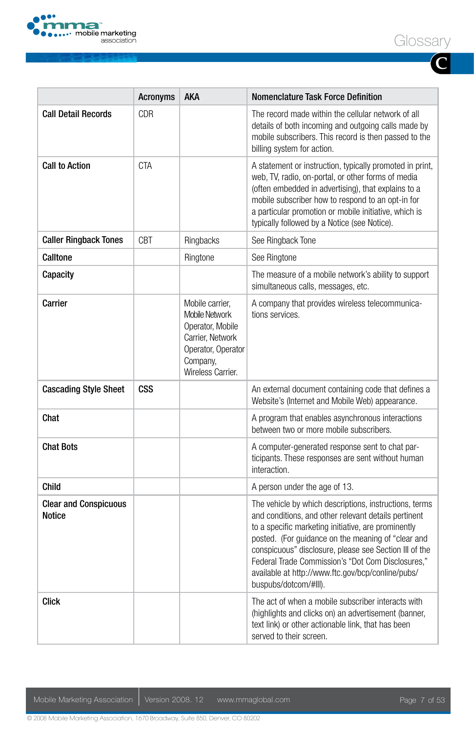

|--|--|

**C**

|                                        | <b>Acronyms</b> | AKA                                                                                                                              | <b>Nomenclature Task Force Definition</b>                                                                                                                                                                                                                                                                                                                                                                                |
|----------------------------------------|-----------------|----------------------------------------------------------------------------------------------------------------------------------|--------------------------------------------------------------------------------------------------------------------------------------------------------------------------------------------------------------------------------------------------------------------------------------------------------------------------------------------------------------------------------------------------------------------------|
| <b>Call Detail Records</b>             | <b>CDR</b>      |                                                                                                                                  | The record made within the cellular network of all<br>details of both incoming and outgoing calls made by<br>mobile subscribers. This record is then passed to the<br>billing system for action.                                                                                                                                                                                                                         |
| <b>Call to Action</b>                  | <b>CTA</b>      |                                                                                                                                  | A statement or instruction, typically promoted in print,<br>web, TV, radio, on-portal, or other forms of media<br>(often embedded in advertising), that explains to a<br>mobile subscriber how to respond to an opt-in for<br>a particular promotion or mobile initiative, which is<br>typically followed by a Notice (see Notice).                                                                                      |
| <b>Caller Ringback Tones</b>           | <b>CBT</b>      | Ringbacks                                                                                                                        | See Ringback Tone                                                                                                                                                                                                                                                                                                                                                                                                        |
| Calltone                               |                 | Ringtone                                                                                                                         | See Ringtone                                                                                                                                                                                                                                                                                                                                                                                                             |
| Capacity                               |                 |                                                                                                                                  | The measure of a mobile network's ability to support<br>simultaneous calls, messages, etc.                                                                                                                                                                                                                                                                                                                               |
| Carrier                                |                 | Mobile carrier.<br>Mobile Network<br>Operator, Mobile<br>Carrier, Network<br>Operator, Operator<br>Company,<br>Wireless Carrier. | A company that provides wireless telecommunica-<br>tions services.                                                                                                                                                                                                                                                                                                                                                       |
| <b>Cascading Style Sheet</b>           | CSS             |                                                                                                                                  | An external document containing code that defines a<br>Website's (Internet and Mobile Web) appearance.                                                                                                                                                                                                                                                                                                                   |
| Chat                                   |                 |                                                                                                                                  | A program that enables asynchronous interactions<br>between two or more mobile subscribers.                                                                                                                                                                                                                                                                                                                              |
| <b>Chat Bots</b>                       |                 |                                                                                                                                  | A computer-generated response sent to chat par-<br>ticipants. These responses are sent without human<br>interaction.                                                                                                                                                                                                                                                                                                     |
| <b>Child</b>                           |                 |                                                                                                                                  | A person under the age of 13.                                                                                                                                                                                                                                                                                                                                                                                            |
| <b>Clear and Conspicuous</b><br>Notice |                 |                                                                                                                                  | The vehicle by which descriptions, instructions, terms<br>and conditions, and other relevant details pertinent<br>to a specific marketing initiative, are prominently<br>posted. (For guidance on the meaning of "clear and<br>conspicuous" disclosure, please see Section III of the<br>Federal Trade Commission's "Dot Com Disclosures,"<br>available at http://www.ftc.gov/bcp/conline/pubs/<br>buspubs/dotcom/#III). |
| <b>Click</b>                           |                 |                                                                                                                                  | The act of when a mobile subscriber interacts with<br>(highlights and clicks on) an advertisement (banner,<br>text link) or other actionable link, that has been<br>served to their screen.                                                                                                                                                                                                                              |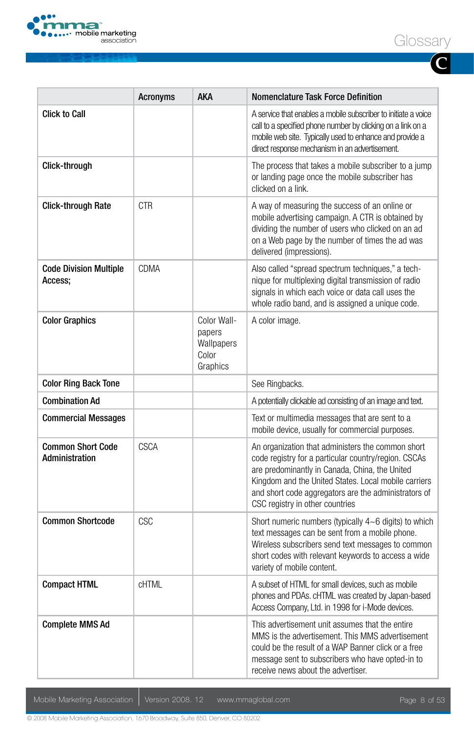

| ICCANI<br>l コl( )<br>odl. |  |
|---------------------------|--|
|---------------------------|--|

**C**

|                                            | Acronyms     | <b>AKA</b>                                               | <b>Nomenclature Task Force Definition</b>                                                                                                                                                                                                                                                                      |
|--------------------------------------------|--------------|----------------------------------------------------------|----------------------------------------------------------------------------------------------------------------------------------------------------------------------------------------------------------------------------------------------------------------------------------------------------------------|
| <b>Click to Call</b>                       |              |                                                          | A service that enables a mobile subscriber to initiate a voice<br>call to a specified phone number by clicking on a link on a<br>mobile web site. Typically used to enhance and provide a<br>direct response mechanism in an advertisement.                                                                    |
| Click-through                              |              |                                                          | The process that takes a mobile subscriber to a jump<br>or landing page once the mobile subscriber has<br>clicked on a link.                                                                                                                                                                                   |
| <b>Click-through Rate</b>                  | <b>CTR</b>   |                                                          | A way of measuring the success of an online or<br>mobile advertising campaign. A CTR is obtained by<br>dividing the number of users who clicked on an ad<br>on a Web page by the number of times the ad was<br>delivered (impressions).                                                                        |
| <b>Code Division Multiple</b><br>Access:   | CDMA         |                                                          | Also called "spread spectrum techniques," a tech-<br>nique for multiplexing digital transmission of radio<br>signals in which each voice or data call uses the<br>whole radio band, and is assigned a unique code.                                                                                             |
| <b>Color Graphics</b>                      |              | Color Wall-<br>papers<br>Wallpapers<br>Color<br>Graphics | A color image.                                                                                                                                                                                                                                                                                                 |
| <b>Color Ring Back Tone</b>                |              |                                                          | See Ringbacks.                                                                                                                                                                                                                                                                                                 |
| <b>Combination Ad</b>                      |              |                                                          | A potentially clickable ad consisting of an image and text.                                                                                                                                                                                                                                                    |
| <b>Commercial Messages</b>                 |              |                                                          | Text or multimedia messages that are sent to a<br>mobile device, usually for commercial purposes.                                                                                                                                                                                                              |
| <b>Common Short Code</b><br>Administration | <b>CSCA</b>  |                                                          | An organization that administers the common short<br>code registry for a particular country/region. CSCAs<br>are predominantly in Canada, China, the United<br>Kingdom and the United States. Local mobile carriers<br>and short code aggregators are the administrators of<br>CSC registry in other countries |
| <b>Common Shortcode</b>                    | CSC          |                                                          | Short numeric numbers (typically $4~6$ digits) to which<br>text messages can be sent from a mobile phone.<br>Wireless subscribers send text messages to common<br>short codes with relevant keywords to access a wide<br>variety of mobile content.                                                            |
| <b>Compact HTML</b>                        | <b>CHTML</b> |                                                          | A subset of HTML for small devices, such as mobile<br>phones and PDAs. cHTML was created by Japan-based<br>Access Company, Ltd. in 1998 for i-Mode devices.                                                                                                                                                    |
| <b>Complete MMS Ad</b>                     |              |                                                          | This advertisement unit assumes that the entire<br>MMS is the advertisement. This MMS advertisement<br>could be the result of a WAP Banner click or a free<br>message sent to subscribers who have opted-in to<br>receive news about the advertiser.                                                           |

Mobile Marketing Association | Version 2008. 12 www.mmaglobal.com Page 8 of 53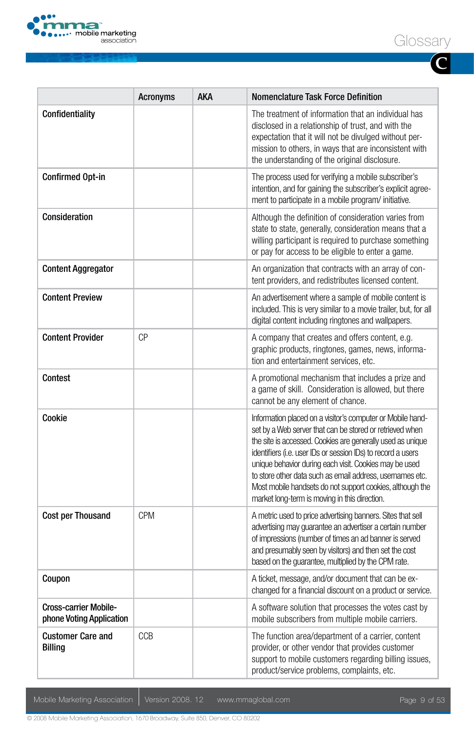

**C**

|                                                          | <b>Acronyms</b> | <b>AKA</b> | <b>Nomenclature Task Force Definition</b>                                                                                                                                                                                                                                                                                                                                                                                                                                                |
|----------------------------------------------------------|-----------------|------------|------------------------------------------------------------------------------------------------------------------------------------------------------------------------------------------------------------------------------------------------------------------------------------------------------------------------------------------------------------------------------------------------------------------------------------------------------------------------------------------|
| Confidentiality                                          |                 |            | The treatment of information that an individual has<br>disclosed in a relationship of trust, and with the<br>expectation that it will not be divulged without per-<br>mission to others, in ways that are inconsistent with<br>the understanding of the original disclosure.                                                                                                                                                                                                             |
| Confirmed Opt-in                                         |                 |            | The process used for verifying a mobile subscriber's<br>intention, and for gaining the subscriber's explicit agree-<br>ment to participate in a mobile program/ initiative.                                                                                                                                                                                                                                                                                                              |
| Consideration                                            |                 |            | Although the definition of consideration varies from<br>state to state, generally, consideration means that a<br>willing participant is required to purchase something<br>or pay for access to be eligible to enter a game.                                                                                                                                                                                                                                                              |
| <b>Content Aggregator</b>                                |                 |            | An organization that contracts with an array of con-<br>tent providers, and redistributes licensed content.                                                                                                                                                                                                                                                                                                                                                                              |
| <b>Content Preview</b>                                   |                 |            | An advertisement where a sample of mobile content is<br>included. This is very similar to a movie trailer, but, for all<br>digital content including ringtones and wallpapers.                                                                                                                                                                                                                                                                                                           |
| <b>Content Provider</b>                                  | CP              |            | A company that creates and offers content, e.g.<br>graphic products, ringtones, games, news, informa-<br>tion and entertainment services, etc.                                                                                                                                                                                                                                                                                                                                           |
| Contest                                                  |                 |            | A promotional mechanism that includes a prize and<br>a game of skill. Consideration is allowed, but there<br>cannot be any element of chance.                                                                                                                                                                                                                                                                                                                                            |
| Cookie                                                   |                 |            | Information placed on a visitor's computer or Mobile hand-<br>set by a Web server that can be stored or retrieved when<br>the site is accessed. Cookies are generally used as unique<br>identifiers (i.e. user IDs or session IDs) to record a users<br>unique behavior during each visit. Cookies may be used<br>to store other data such as email address, usemames etc.<br>Most mobile handsets do not support cookies, although the<br>market long-term is moving in this direction. |
| <b>Cost per Thousand</b>                                 | <b>CPM</b>      |            | A metric used to price advertising banners. Sites that sell<br>advertising may quarantee an advertiser a certain number<br>of impressions (number of times an ad banner is served<br>and presumably seen by visitors) and then set the cost<br>based on the guarantee, multiplied by the CPM rate.                                                                                                                                                                                       |
| Coupon                                                   |                 |            | A ticket, message, and/or document that can be ex-<br>changed for a financial discount on a product or service.                                                                                                                                                                                                                                                                                                                                                                          |
| <b>Cross-carrier Mobile-</b><br>phone Voting Application |                 |            | A software solution that processes the votes cast by<br>mobile subscribers from multiple mobile carriers.                                                                                                                                                                                                                                                                                                                                                                                |
| <b>Customer Care and</b><br><b>Billing</b>               | CCB             |            | The function area/department of a carrier, content<br>provider, or other vendor that provides customer<br>support to mobile customers regarding billing issues,<br>product/service problems, complaints, etc.                                                                                                                                                                                                                                                                            |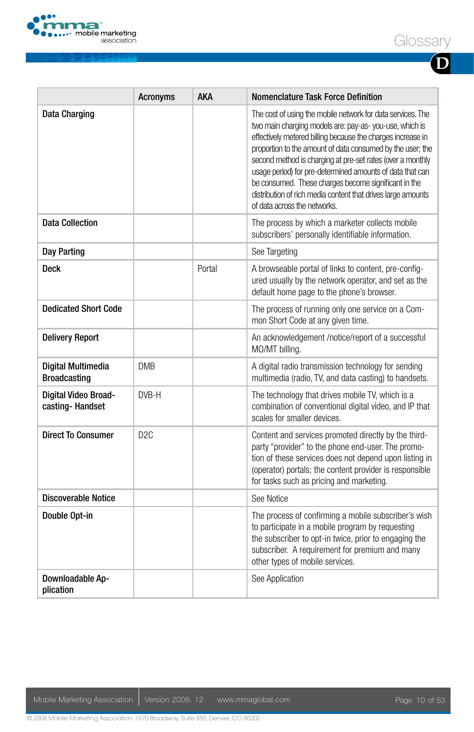

|--|--|

**D**

|                                           | <b>Acronyms</b> | AKA    | Nomenclature Task Force Definition                                                                                                                                                                                                                                                                                                                                                                                                                                                                                                    |
|-------------------------------------------|-----------------|--------|---------------------------------------------------------------------------------------------------------------------------------------------------------------------------------------------------------------------------------------------------------------------------------------------------------------------------------------------------------------------------------------------------------------------------------------------------------------------------------------------------------------------------------------|
| Data Charging                             |                 |        | The cost of using the mobile network for data services. The<br>two main charging models are: pay-as-you-use, which is<br>effectively metered billing because the charges increase in<br>proportion to the amount of data consumed by the user; the<br>second method is charging at pre-set rates (over a monthly<br>usage period) for pre-determined amounts of data that can<br>be consumed. These charges become significant in the<br>distribution of rich media content that drives large amounts<br>of data across the networks. |
| <b>Data Collection</b>                    |                 |        | The process by which a marketer collects mobile<br>subscribers' personally identifiable information.                                                                                                                                                                                                                                                                                                                                                                                                                                  |
| Day Parting                               |                 |        | See Targeting                                                                                                                                                                                                                                                                                                                                                                                                                                                                                                                         |
| Deck                                      |                 | Portal | A browseable portal of links to content, pre-config-<br>ured usually by the network operator, and set as the<br>default home page to the phone's browser.                                                                                                                                                                                                                                                                                                                                                                             |
| <b>Dedicated Short Code</b>               |                 |        | The process of running only one service on a Com-<br>mon Short Code at any given time.                                                                                                                                                                                                                                                                                                                                                                                                                                                |
| <b>Delivery Report</b>                    |                 |        | An acknowledgement /notice/report of a successful<br>MO/MT billing.                                                                                                                                                                                                                                                                                                                                                                                                                                                                   |
| Digital Multimedia<br><b>Broadcasting</b> | <b>DMB</b>      |        | A digital radio transmission technology for sending<br>multimedia (radio, TV, and data casting) to handsets.                                                                                                                                                                                                                                                                                                                                                                                                                          |
| Digital Video Broad-<br>casting-Handset   | DVB-H           |        | The technology that drives mobile TV, which is a<br>combination of conventional digital video, and IP that<br>scales for smaller devices.                                                                                                                                                                                                                                                                                                                                                                                             |
| <b>Direct To Consumer</b>                 | D <sub>2C</sub> |        | Content and services promoted directly by the third-<br>party "provider" to the phone end-user. The promo-<br>tion of these services does not depend upon listing in<br>(operator) portals; the content provider is responsible<br>for tasks such as pricing and marketing.                                                                                                                                                                                                                                                           |
| <b>Discoverable Notice</b>                |                 |        | See Notice                                                                                                                                                                                                                                                                                                                                                                                                                                                                                                                            |
| Double Opt-in                             |                 |        | The process of confirming a mobile subscriber's wish<br>to participate in a mobile program by requesting<br>the subscriber to opt-in twice, prior to engaging the<br>subscriber. A requirement for premium and many<br>other types of mobile services.                                                                                                                                                                                                                                                                                |
| Downloadable Ap-<br>plication             |                 |        | See Application                                                                                                                                                                                                                                                                                                                                                                                                                                                                                                                       |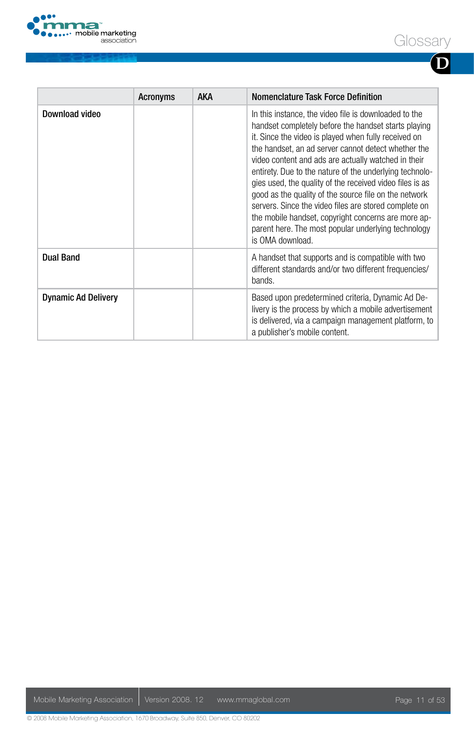

|                            | <b>Acronyms</b> | <b>AKA</b> | <b>Nomenclature Task Force Definition</b>                                                                                                                                                                                                                                                                                                                                                                                                                                                                                                                                                                                                                      |
|----------------------------|-----------------|------------|----------------------------------------------------------------------------------------------------------------------------------------------------------------------------------------------------------------------------------------------------------------------------------------------------------------------------------------------------------------------------------------------------------------------------------------------------------------------------------------------------------------------------------------------------------------------------------------------------------------------------------------------------------------|
| Download video             |                 |            | In this instance, the video file is downloaded to the<br>handset completely before the handset starts playing<br>it. Since the video is played when fully received on<br>the handset, an ad server cannot detect whether the<br>video content and ads are actually watched in their<br>entirety. Due to the nature of the underlying technolo-<br>gies used, the quality of the received video files is as<br>good as the quality of the source file on the network<br>servers. Since the video files are stored complete on<br>the mobile handset, copyright concerns are more ap-<br>parent here. The most popular underlying technology<br>is OMA download. |
| <b>Dual Band</b>           |                 |            | A handset that supports and is compatible with two<br>different standards and/or two different frequencies/<br>bands.                                                                                                                                                                                                                                                                                                                                                                                                                                                                                                                                          |
| <b>Dynamic Ad Delivery</b> |                 |            | Based upon predetermined criteria, Dynamic Ad De-<br>livery is the process by which a mobile advertisement<br>is delivered, via a campaign management platform, to<br>a publisher's mobile content.                                                                                                                                                                                                                                                                                                                                                                                                                                                            |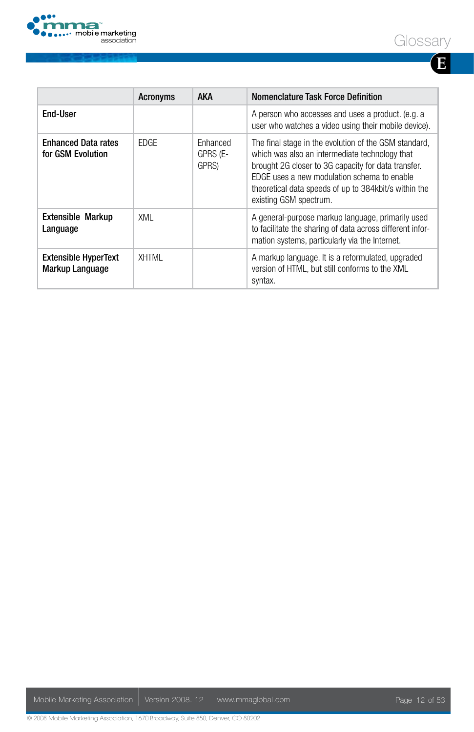

|--|--|

|                                                       | <b>Acronyms</b> | <b>AKA</b>                           | Nomenclature Task Force Definition                                                                                                                                                                                                                                                               |
|-------------------------------------------------------|-----------------|--------------------------------------|--------------------------------------------------------------------------------------------------------------------------------------------------------------------------------------------------------------------------------------------------------------------------------------------------|
| End-User                                              |                 |                                      | A person who accesses and uses a product. (e.g. a<br>user who watches a video using their mobile device).                                                                                                                                                                                        |
| <b>Enhanced Data rates</b><br>for GSM Evolution       | <b>FDGF</b>     | <b>Fnhanced</b><br>GPRS (E-<br>GPRS) | The final stage in the evolution of the GSM standard,<br>which was also an intermediate technology that<br>brought 2G closer to 3G capacity for data transfer.<br>EDGE uses a new modulation schema to enable<br>theoretical data speeds of up to 384kbit/s within the<br>existing GSM spectrum. |
| <b>Extensible Markup</b><br>Language                  | XMI             |                                      | A general-purpose markup language, primarily used<br>to facilitate the sharing of data across different infor-<br>mation systems, particularly via the Internet.                                                                                                                                 |
| <b>Extensible HyperText</b><br><b>Markup Language</b> | <b>XHTML</b>    |                                      | A markup language. It is a reformulated, upgraded<br>version of HTML, but still conforms to the XML<br>syntax.                                                                                                                                                                                   |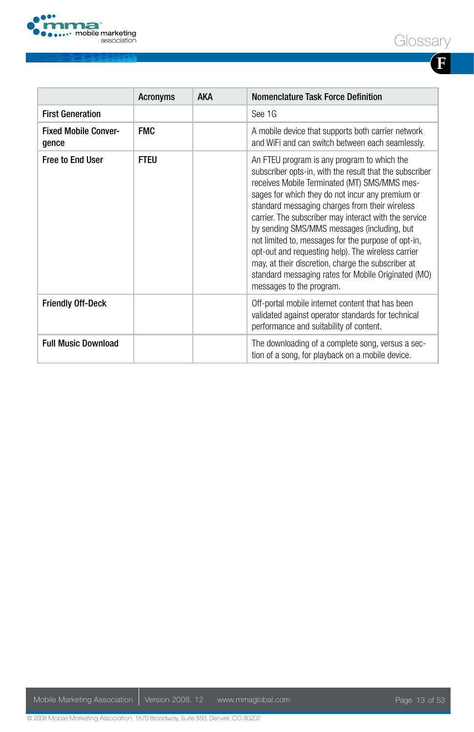



|                                      | <b>Acronyms</b> | <b>AKA</b> | Nomenclature Task Force Definition                                                                                                                                                                                                                                                                                                                                                                                                                                                                                                                                                                                         |
|--------------------------------------|-----------------|------------|----------------------------------------------------------------------------------------------------------------------------------------------------------------------------------------------------------------------------------------------------------------------------------------------------------------------------------------------------------------------------------------------------------------------------------------------------------------------------------------------------------------------------------------------------------------------------------------------------------------------------|
| <b>First Generation</b>              |                 |            | See 1G                                                                                                                                                                                                                                                                                                                                                                                                                                                                                                                                                                                                                     |
| <b>Fixed Mobile Conver-</b><br>gence | <b>FMC</b>      |            | A mobile device that supports both carrier network<br>and WiFi and can switch between each seamlessly.                                                                                                                                                                                                                                                                                                                                                                                                                                                                                                                     |
| <b>Free to End User</b>              | <b>FTEU</b>     |            | An FTEU program is any program to which the<br>subscriber opts-in, with the result that the subscriber<br>receives Mobile Terminated (MT) SMS/MMS mes-<br>sages for which they do not incur any premium or<br>standard messaging charges from their wireless<br>carrier. The subscriber may interact with the service<br>by sending SMS/MMS messages (including, but<br>not limited to, messages for the purpose of opt-in,<br>opt-out and requesting help). The wireless carrier<br>may, at their discretion, charge the subscriber at<br>standard messaging rates for Mobile Originated (MO)<br>messages to the program. |
| <b>Friendly Off-Deck</b>             |                 |            | Off-portal mobile internet content that has been<br>validated against operator standards for technical<br>performance and suitability of content.                                                                                                                                                                                                                                                                                                                                                                                                                                                                          |
| <b>Full Music Download</b>           |                 |            | The downloading of a complete song, versus a sec-<br>tion of a song, for playback on a mobile device.                                                                                                                                                                                                                                                                                                                                                                                                                                                                                                                      |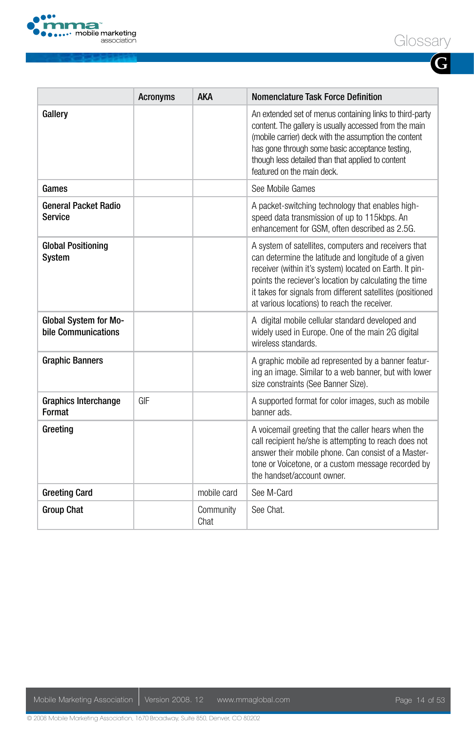

**G**

|                                                     | <b>Acronyms</b> | <b>AKA</b>  | Nomenclature Task Force Definition                                                                                                                                                                                                                                                                                                             |
|-----------------------------------------------------|-----------------|-------------|------------------------------------------------------------------------------------------------------------------------------------------------------------------------------------------------------------------------------------------------------------------------------------------------------------------------------------------------|
| Gallery                                             |                 |             | An extended set of menus containing links to third-party<br>content. The gallery is usually accessed from the main<br>(mobile carrier) deck with the assumption the content<br>has gone through some basic acceptance testing,<br>though less detailed than that applied to content<br>featured on the main deck.                              |
| Games                                               |                 |             | See Mobile Games                                                                                                                                                                                                                                                                                                                               |
| <b>General Packet Radio</b><br><b>Service</b>       |                 |             | A packet-switching technology that enables high-<br>speed data transmission of up to 115kbps. An<br>enhancement for GSM, often described as 2.5G.                                                                                                                                                                                              |
| <b>Global Positioning</b><br>System                 |                 |             | A system of satellites, computers and receivers that<br>can determine the latitude and longitude of a given<br>receiver (within it's system) located on Earth. It pin-<br>points the reciever's location by calculating the time<br>it takes for signals from different satellites (positioned<br>at various locations) to reach the receiver. |
| <b>Global System for Mo-</b><br>bile Communications |                 |             | A digital mobile cellular standard developed and<br>widely used in Europe. One of the main 2G digital<br>wireless standards.                                                                                                                                                                                                                   |
| <b>Graphic Banners</b>                              |                 |             | A graphic mobile ad represented by a banner featur-<br>ing an image. Similar to a web banner, but with lower<br>size constraints (See Banner Size).                                                                                                                                                                                            |
| <b>Graphics Interchange</b><br>Format               | GIF             |             | A supported format for color images, such as mobile<br>banner ads.                                                                                                                                                                                                                                                                             |
| Greeting                                            |                 |             | A voicemail greeting that the caller hears when the<br>call recipient he/she is attempting to reach does not<br>answer their mobile phone. Can consist of a Master-<br>tone or Voicetone, or a custom message recorded by<br>the handset/account owner.                                                                                        |
| <b>Greeting Card</b>                                |                 | mobile card | See M-Card                                                                                                                                                                                                                                                                                                                                     |
| <b>Group Chat</b>                                   |                 | Community   | See Chat.                                                                                                                                                                                                                                                                                                                                      |

Chat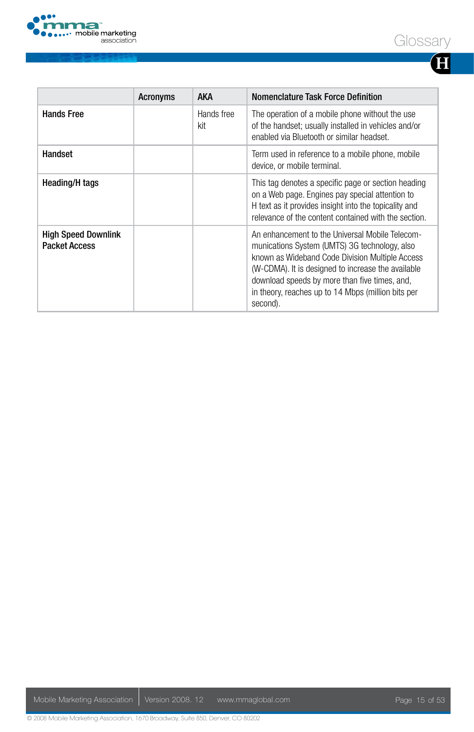

|--|--|

|                                                    | <b>Acronyms</b> | <b>AKA</b>        | Nomenclature Task Force Definition                                                                                                                                                                                                                                                                                           |
|----------------------------------------------------|-----------------|-------------------|------------------------------------------------------------------------------------------------------------------------------------------------------------------------------------------------------------------------------------------------------------------------------------------------------------------------------|
| <b>Hands Free</b>                                  |                 | Hands free<br>kit | The operation of a mobile phone without the use<br>of the handset; usually installed in vehicles and/or<br>enabled via Bluetooth or similar headset.                                                                                                                                                                         |
| <b>Handset</b>                                     |                 |                   | Term used in reference to a mobile phone, mobile<br>device, or mobile terminal.                                                                                                                                                                                                                                              |
| Heading/H tags                                     |                 |                   | This tag denotes a specific page or section heading<br>on a Web page. Engines pay special attention to<br>H text as it provides insight into the topicality and<br>relevance of the content contained with the section.                                                                                                      |
| <b>High Speed Downlink</b><br><b>Packet Access</b> |                 |                   | An enhancement to the Universal Mobile Telecom-<br>munications System (UMTS) 3G technology, also<br>known as Wideband Code Division Multiple Access<br>(W-CDMA). It is designed to increase the available<br>download speeds by more than five times, and,<br>in theory, reaches up to 14 Mbps (million bits per<br>second). |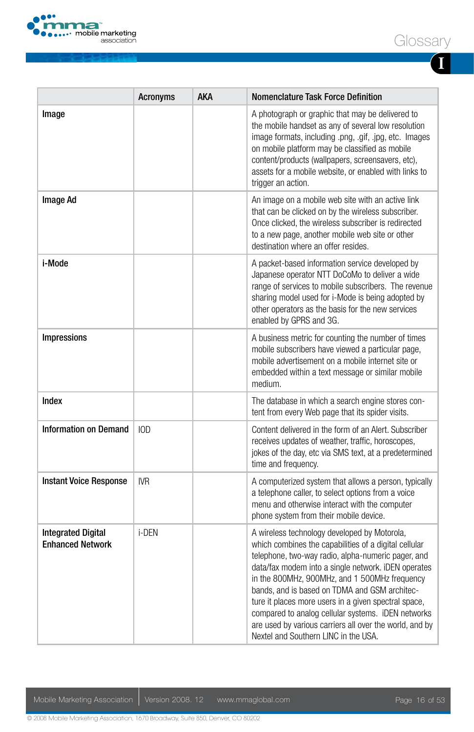

**I**

|                                                      | Acronyms   | AKA | Nomenclature Task Force Definition                                                                                                                                                                                                                                                                                                                                                                                                                                                                                                    |
|------------------------------------------------------|------------|-----|---------------------------------------------------------------------------------------------------------------------------------------------------------------------------------------------------------------------------------------------------------------------------------------------------------------------------------------------------------------------------------------------------------------------------------------------------------------------------------------------------------------------------------------|
| Image                                                |            |     | A photograph or graphic that may be delivered to<br>the mobile handset as any of several low resolution<br>image formats, including .png, .gif, .jpg, etc. Images<br>on mobile platform may be classified as mobile<br>content/products (wallpapers, screensavers, etc),<br>assets for a mobile website, or enabled with links to<br>trigger an action.                                                                                                                                                                               |
| <b>Image Ad</b>                                      |            |     | An image on a mobile web site with an active link<br>that can be clicked on by the wireless subscriber.<br>Once clicked, the wireless subscriber is redirected<br>to a new page, another mobile web site or other<br>destination where an offer resides.                                                                                                                                                                                                                                                                              |
| i-Mode                                               |            |     | A packet-based information service developed by<br>Japanese operator NTT DoCoMo to deliver a wide<br>range of services to mobile subscribers. The revenue<br>sharing model used for i-Mode is being adopted by<br>other operators as the basis for the new services<br>enabled by GPRS and 3G.                                                                                                                                                                                                                                        |
| Impressions                                          |            |     | A business metric for counting the number of times<br>mobile subscribers have viewed a particular page,<br>mobile advertisement on a mobile internet site or<br>embedded within a text message or similar mobile<br>medium.                                                                                                                                                                                                                                                                                                           |
| Index                                                |            |     | The database in which a search engine stores con-<br>tent from every Web page that its spider visits.                                                                                                                                                                                                                                                                                                                                                                                                                                 |
| Information on Demand                                | 10D        |     | Content delivered in the form of an Alert. Subscriber<br>receives updates of weather, traffic, horoscopes,<br>jokes of the day, etc via SMS text, at a predetermined<br>time and frequency.                                                                                                                                                                                                                                                                                                                                           |
| <b>Instant Voice Response</b>                        | <b>IVR</b> |     | A computerized system that allows a person, typically<br>a telephone caller, to select options from a voice<br>menu and otherwise interact with the computer<br>phone system from their mobile device.                                                                                                                                                                                                                                                                                                                                |
| <b>Integrated Digital</b><br><b>Enhanced Network</b> | i-DEN      |     | A wireless technology developed by Motorola,<br>which combines the capabilities of a digital cellular<br>telephone, two-way radio, alpha-numeric pager, and<br>data/fax modem into a single network. iDEN operates<br>in the 800MHz, 900MHz, and 1 500MHz frequency<br>bands, and is based on TDMA and GSM architec-<br>ture it places more users in a given spectral space,<br>compared to analog cellular systems. iDEN networks<br>are used by various carriers all over the world, and by<br>Nextel and Southern LINC in the USA. |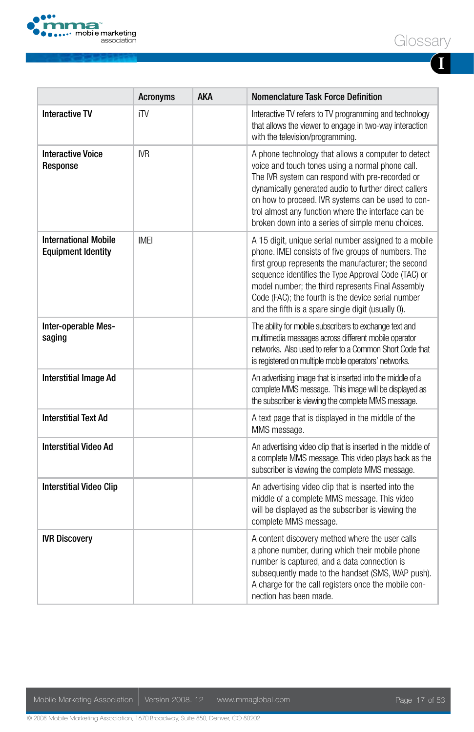

**I**

|                                                          | <b>Acronyms</b> | AKA | <b>Nomenclature Task Force Definition</b>                                                                                                                                                                                                                                                                                                                                                   |
|----------------------------------------------------------|-----------------|-----|---------------------------------------------------------------------------------------------------------------------------------------------------------------------------------------------------------------------------------------------------------------------------------------------------------------------------------------------------------------------------------------------|
| <b>Interactive TV</b>                                    | iTV             |     | Interactive TV refers to TV programming and technology<br>that allows the viewer to engage in two-way interaction<br>with the television/programming.                                                                                                                                                                                                                                       |
| <b>Interactive Voice</b><br>Response                     | <b>IVR</b>      |     | A phone technology that allows a computer to detect<br>voice and touch tones using a normal phone call.<br>The IVR system can respond with pre-recorded or<br>dynamically generated audio to further direct callers<br>on how to proceed. IVR systems can be used to con-<br>trol almost any function where the interface can be<br>broken down into a series of simple menu choices.       |
| <b>International Mobile</b><br><b>Equipment Identity</b> | <b>IMEI</b>     |     | A 15 digit, unique serial number assigned to a mobile<br>phone. IMEI consists of five groups of numbers. The<br>first group represents the manufacturer; the second<br>sequence identifies the Type Approval Code (TAC) or<br>model number; the third represents Final Assembly<br>Code (FAC); the fourth is the device serial number<br>and the fifth is a spare single digit (usually 0). |
| Inter-operable Mes-<br>saging                            |                 |     | The ability for mobile subscribers to exchange text and<br>multimedia messages across different mobile operator<br>networks. Also used to refer to a Common Short Code that<br>is registered on multiple mobile operators' networks.                                                                                                                                                        |
| <b>Interstitial Image Ad</b>                             |                 |     | An advertising image that is inserted into the middle of a<br>complete MMS message. This image will be displayed as<br>the subscriber is viewing the complete MMS message.                                                                                                                                                                                                                  |
| <b>Interstitial Text Ad</b>                              |                 |     | A text page that is displayed in the middle of the<br>MMS message.                                                                                                                                                                                                                                                                                                                          |
| <b>Interstitial Video Ad</b>                             |                 |     | An advertising video clip that is inserted in the middle of<br>a complete MMS message. This video plays back as the<br>subscriber is viewing the complete MMS message.                                                                                                                                                                                                                      |
| <b>Interstitial Video Clip</b>                           |                 |     | An advertising video clip that is inserted into the<br>middle of a complete MMS message. This video<br>will be displayed as the subscriber is viewing the<br>complete MMS message.                                                                                                                                                                                                          |
| <b>IVR Discovery</b>                                     |                 |     | A content discovery method where the user calls<br>a phone number, during which their mobile phone<br>number is captured, and a data connection is<br>subsequently made to the handset (SMS, WAP push).<br>A charge for the call registers once the mobile con-<br>nection has been made.                                                                                                   |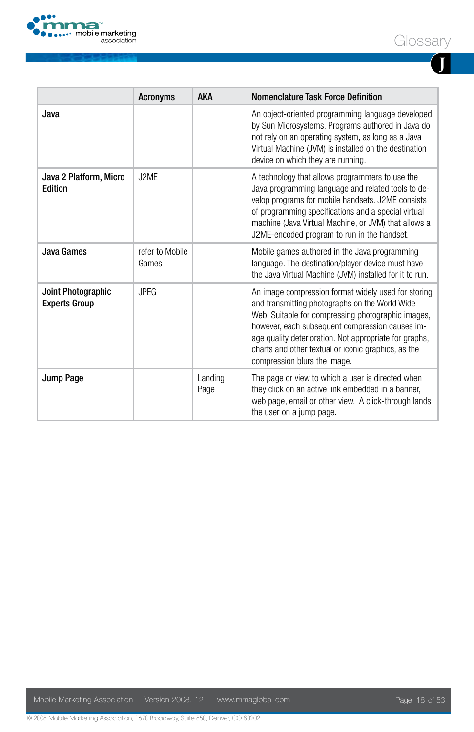

|--|

**J**

|                                            | <b>Acronyms</b>          | <b>AKA</b>      | Nomenclature Task Force Definition                                                                                                                                                                                                                                                                                                                              |
|--------------------------------------------|--------------------------|-----------------|-----------------------------------------------------------------------------------------------------------------------------------------------------------------------------------------------------------------------------------------------------------------------------------------------------------------------------------------------------------------|
| Java                                       |                          |                 | An object-oriented programming language developed<br>by Sun Microsystems. Programs authored in Java do<br>not rely on an operating system, as long as a Java<br>Virtual Machine (JVM) is installed on the destination<br>device on which they are running.                                                                                                      |
| Java 2 Platform, Micro<br><b>Edition</b>   | J2ME                     |                 | A technology that allows programmers to use the<br>Java programming language and related tools to de-<br>velop programs for mobile handsets. J2ME consists<br>of programming specifications and a special virtual<br>machine (Java Virtual Machine, or JVM) that allows a<br>J2ME-encoded program to run in the handset.                                        |
| Java Games                                 | refer to Mobile<br>Games |                 | Mobile games authored in the Java programming<br>language. The destination/player device must have<br>the Java Virtual Machine (JVM) installed for it to run.                                                                                                                                                                                                   |
| Joint Photographic<br><b>Experts Group</b> | <b>JPEG</b>              |                 | An image compression format widely used for storing<br>and transmitting photographs on the World Wide<br>Web. Suitable for compressing photographic images,<br>however, each subsequent compression causes im-<br>age quality deterioration. Not appropriate for graphs,<br>charts and other textual or iconic graphics, as the<br>compression blurs the image. |
| Jump Page                                  |                          | Landing<br>Page | The page or view to which a user is directed when<br>they click on an active link embedded in a banner,<br>web page, email or other view. A click-through lands<br>the user on a jump page.                                                                                                                                                                     |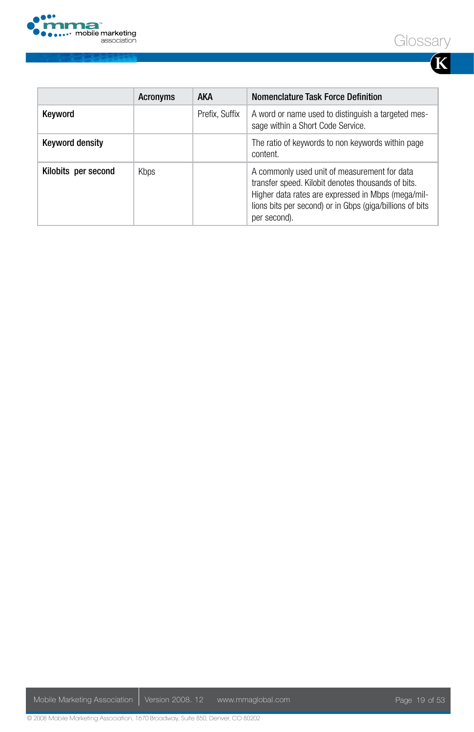





|                        | Acronyms | <b>AKA</b>     | Nomenclature Task Force Definition                                                                                                                                                                                                   |
|------------------------|----------|----------------|--------------------------------------------------------------------------------------------------------------------------------------------------------------------------------------------------------------------------------------|
| Keyword                |          | Prefix. Suffix | A word or name used to distinguish a targeted mes-<br>sage within a Short Code Service.                                                                                                                                              |
| <b>Keyword density</b> |          |                | The ratio of keywords to non keywords within page<br>content.                                                                                                                                                                        |
| Kilobits per second    | Kbps     |                | A commonly used unit of measurement for data<br>transfer speed. Kilobit denotes thousands of bits.<br>Higher data rates are expressed in Mbps (mega/mil-<br>lions bits per second) or in Gbps (giga/billions of bits<br>per second). |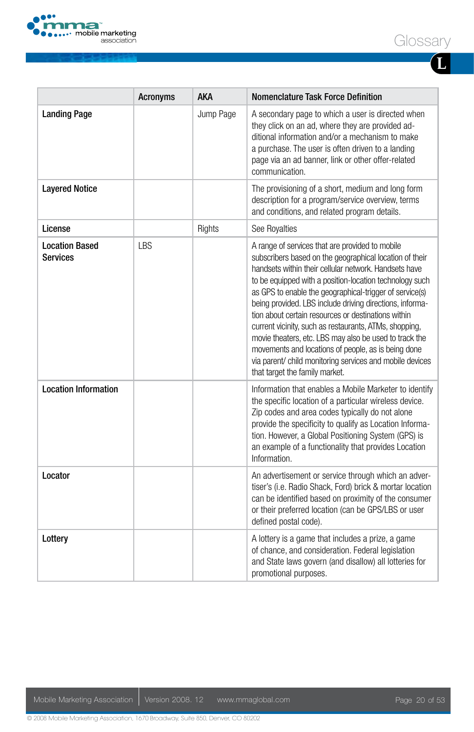

|--|--|

| ł<br>I<br>I |  |  |
|-------------|--|--|

|                                          | <b>Acronyms</b> | <b>AKA</b> | <b>Nomenclature Task Force Definition</b>                                                                                                                                                                                                                                                                                                                                                                                                                                                                                                                                                                                                                                             |
|------------------------------------------|-----------------|------------|---------------------------------------------------------------------------------------------------------------------------------------------------------------------------------------------------------------------------------------------------------------------------------------------------------------------------------------------------------------------------------------------------------------------------------------------------------------------------------------------------------------------------------------------------------------------------------------------------------------------------------------------------------------------------------------|
| <b>Landing Page</b>                      |                 | Jump Page  | A secondary page to which a user is directed when<br>they click on an ad, where they are provided ad-<br>ditional information and/or a mechanism to make<br>a purchase. The user is often driven to a landing<br>page via an ad banner, link or other offer-related<br>communication.                                                                                                                                                                                                                                                                                                                                                                                                 |
| <b>Layered Notice</b>                    |                 |            | The provisioning of a short, medium and long form<br>description for a program/service overview, terms<br>and conditions, and related program details.                                                                                                                                                                                                                                                                                                                                                                                                                                                                                                                                |
| License                                  |                 | Rights     | See Royalties                                                                                                                                                                                                                                                                                                                                                                                                                                                                                                                                                                                                                                                                         |
| <b>Location Based</b><br><b>Services</b> | <b>LBS</b>      |            | A range of services that are provided to mobile<br>subscribers based on the geographical location of their<br>handsets within their cellular network. Handsets have<br>to be equipped with a position-location technology such<br>as GPS to enable the geographical-trigger of service(s)<br>being provided. LBS include driving directions, informa-<br>tion about certain resources or destinations within<br>current vicinity, such as restaurants, ATMs, shopping,<br>movie theaters, etc. LBS may also be used to track the<br>movements and locations of people, as is being done<br>via parent/ child monitoring services and mobile devices<br>that target the family market. |
| <b>Location Information</b>              |                 |            | Information that enables a Mobile Marketer to identify<br>the specific location of a particular wireless device.<br>Zip codes and area codes typically do not alone<br>provide the specificity to qualify as Location Informa-<br>tion. However, a Global Positioning System (GPS) is<br>an example of a functionality that provides Location<br>Information.                                                                                                                                                                                                                                                                                                                         |
| Locator                                  |                 |            | An advertisement or service through which an adver-<br>tiser's (i.e. Radio Shack, Ford) brick & mortar location<br>can be identified based on proximity of the consumer<br>or their preferred location (can be GPS/LBS or user<br>defined postal code).                                                                                                                                                                                                                                                                                                                                                                                                                               |
| Lottery                                  |                 |            | A lottery is a game that includes a prize, a game<br>of chance, and consideration. Federal legislation<br>and State laws govern (and disallow) all lotteries for<br>promotional purposes.                                                                                                                                                                                                                                                                                                                                                                                                                                                                                             |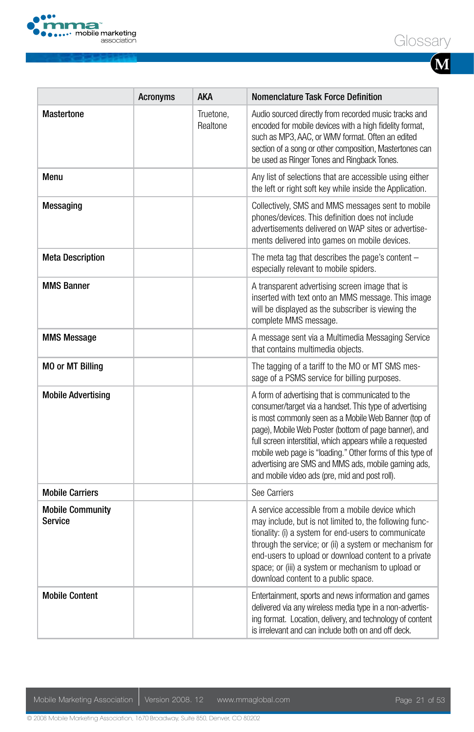

|--|--|

|                                    | <b>Acronyms</b> | AKA                   | Nomenclature Task Force Definition                                                                                                                                                                                                                                                                                                                                                                                                                               |
|------------------------------------|-----------------|-----------------------|------------------------------------------------------------------------------------------------------------------------------------------------------------------------------------------------------------------------------------------------------------------------------------------------------------------------------------------------------------------------------------------------------------------------------------------------------------------|
| <b>Mastertone</b>                  |                 | Truetone.<br>Realtone | Audio sourced directly from recorded music tracks and<br>encoded for mobile devices with a high fidelity format,<br>such as MP3, AAC, or WMV format. Often an edited<br>section of a song or other composition, Mastertones can<br>be used as Ringer Tones and Ringback Tones.                                                                                                                                                                                   |
| Menu                               |                 |                       | Any list of selections that are accessible using either<br>the left or right soft key while inside the Application.                                                                                                                                                                                                                                                                                                                                              |
| Messaging                          |                 |                       | Collectively, SMS and MMS messages sent to mobile<br>phones/devices. This definition does not include<br>advertisements delivered on WAP sites or advertise-<br>ments delivered into games on mobile devices.                                                                                                                                                                                                                                                    |
| <b>Meta Description</b>            |                 |                       | The meta tag that describes the page's content $-$<br>especially relevant to mobile spiders.                                                                                                                                                                                                                                                                                                                                                                     |
| <b>MMS Banner</b>                  |                 |                       | A transparent advertising screen image that is<br>inserted with text onto an MMS message. This image<br>will be displayed as the subscriber is viewing the<br>complete MMS message.                                                                                                                                                                                                                                                                              |
| <b>MMS Message</b>                 |                 |                       | A message sent via a Multimedia Messaging Service<br>that contains multimedia objects.                                                                                                                                                                                                                                                                                                                                                                           |
| <b>MO or MT Billing</b>            |                 |                       | The tagging of a tariff to the MO or MT SMS mes-<br>sage of a PSMS service for billing purposes.                                                                                                                                                                                                                                                                                                                                                                 |
| <b>Mobile Advertising</b>          |                 |                       | A form of advertising that is communicated to the<br>consumer/target via a handset. This type of advertising<br>is most commonly seen as a Mobile Web Banner (top of<br>page), Mobile Web Poster (bottom of page banner), and<br>full screen interstitial, which appears while a requested<br>mobile web page is "loading." Other forms of this type of<br>advertising are SMS and MMS ads, mobile gaming ads,<br>and mobile video ads (pre, mid and post roll). |
| <b>Mobile Carriers</b>             |                 |                       | See Carriers                                                                                                                                                                                                                                                                                                                                                                                                                                                     |
| <b>Mobile Community</b><br>Service |                 |                       | A service accessible from a mobile device which<br>may include, but is not limited to, the following func-<br>tionality: (i) a system for end-users to communicate<br>through the service; or (ii) a system or mechanism for<br>end-users to upload or download content to a private<br>space; or (iii) a system or mechanism to upload or<br>download content to a public space.                                                                                |
| <b>Mobile Content</b>              |                 |                       | Entertainment, sports and news information and games<br>delivered via any wireless media type in a non-advertis-<br>ing format. Location, delivery, and technology of content<br>is irrelevant and can include both on and off deck.                                                                                                                                                                                                                             |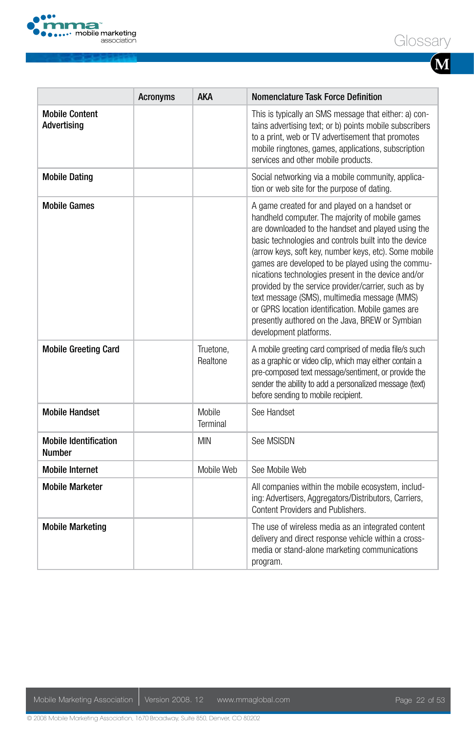

|--|--|

|                                               | <b>Acronyms</b> | <b>AKA</b>            | Nomenclature Task Force Definition                                                                                                                                                                                                                                                                                                                                                                                                                                                                                                                                                                                             |
|-----------------------------------------------|-----------------|-----------------------|--------------------------------------------------------------------------------------------------------------------------------------------------------------------------------------------------------------------------------------------------------------------------------------------------------------------------------------------------------------------------------------------------------------------------------------------------------------------------------------------------------------------------------------------------------------------------------------------------------------------------------|
| <b>Mobile Content</b><br>Advertising          |                 |                       | This is typically an SMS message that either: a) con-<br>tains advertising text; or b) points mobile subscribers<br>to a print, web or TV advertisement that promotes<br>mobile ringtones, games, applications, subscription<br>services and other mobile products.                                                                                                                                                                                                                                                                                                                                                            |
| <b>Mobile Dating</b>                          |                 |                       | Social networking via a mobile community, applica-<br>tion or web site for the purpose of dating.                                                                                                                                                                                                                                                                                                                                                                                                                                                                                                                              |
| <b>Mobile Games</b>                           |                 |                       | A game created for and played on a handset or<br>handheld computer. The majority of mobile games<br>are downloaded to the handset and played using the<br>basic technologies and controls built into the device<br>(arrow keys, soft key, number keys, etc). Some mobile<br>games are developed to be played using the commu-<br>nications technologies present in the device and/or<br>provided by the service provider/carrier, such as by<br>text message (SMS), multimedia message (MMS)<br>or GPRS location identification. Mobile games are<br>presently authored on the Java, BREW or Symbian<br>development platforms. |
| <b>Mobile Greeting Card</b>                   |                 | Truetone,<br>Realtone | A mobile greeting card comprised of media file/s such<br>as a graphic or video clip, which may either contain a<br>pre-composed text message/sentiment, or provide the<br>sender the ability to add a personalized message (text)<br>before sending to mobile recipient.                                                                                                                                                                                                                                                                                                                                                       |
| <b>Mobile Handset</b>                         |                 | Mobile<br>Terminal    | See Handset                                                                                                                                                                                                                                                                                                                                                                                                                                                                                                                                                                                                                    |
| <b>Mobile Identification</b><br><b>Number</b> |                 | <b>MIN</b>            | See MSISDN                                                                                                                                                                                                                                                                                                                                                                                                                                                                                                                                                                                                                     |
| <b>Mobile Internet</b>                        |                 | Mobile Web            | See Mobile Web                                                                                                                                                                                                                                                                                                                                                                                                                                                                                                                                                                                                                 |
| <b>Mobile Marketer</b>                        |                 |                       | All companies within the mobile ecosystem, includ-<br>ing: Advertisers, Aggregators/Distributors, Carriers,<br>Content Providers and Publishers.                                                                                                                                                                                                                                                                                                                                                                                                                                                                               |
| <b>Mobile Marketing</b>                       |                 |                       | The use of wireless media as an integrated content<br>delivery and direct response vehicle within a cross-<br>media or stand-alone marketing communications<br>program.                                                                                                                                                                                                                                                                                                                                                                                                                                                        |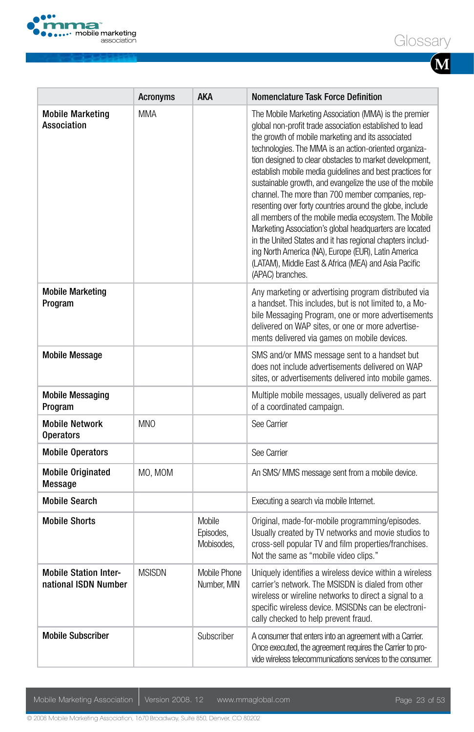

|                                                      | <b>Acronyms</b> | <b>AKA</b>                               | Nomenclature Task Force Definition                                                                                                                                                                                                                                                                                                                                                                                                                                                                                                                                                                                                                                                                                                                                                                                                                     |
|------------------------------------------------------|-----------------|------------------------------------------|--------------------------------------------------------------------------------------------------------------------------------------------------------------------------------------------------------------------------------------------------------------------------------------------------------------------------------------------------------------------------------------------------------------------------------------------------------------------------------------------------------------------------------------------------------------------------------------------------------------------------------------------------------------------------------------------------------------------------------------------------------------------------------------------------------------------------------------------------------|
| <b>Mobile Marketing</b><br>Association               | <b>MMA</b>      |                                          | The Mobile Marketing Association (MMA) is the premier<br>global non-profit trade association established to lead<br>the growth of mobile marketing and its associated<br>technologies. The MMA is an action-oriented organiza-<br>tion designed to clear obstacles to market development,<br>establish mobile media quidelines and best practices for<br>sustainable growth, and evangelize the use of the mobile<br>channel. The more than 700 member companies, rep-<br>resenting over forty countries around the globe, include<br>all members of the mobile media ecosystem. The Mobile<br>Marketing Association's global headquarters are located<br>in the United States and it has regional chapters includ-<br>ing North America (NA), Europe (EUR), Latin America<br>(LATAM), Middle East & Africa (MEA) and Asia Pacific<br>(APAC) branches. |
| <b>Mobile Marketing</b><br>Program                   |                 |                                          | Any marketing or advertising program distributed via<br>a handset. This includes, but is not limited to, a Mo-<br>bile Messaging Program, one or more advertisements<br>delivered on WAP sites, or one or more advertise-<br>ments delivered via games on mobile devices.                                                                                                                                                                                                                                                                                                                                                                                                                                                                                                                                                                              |
| <b>Mobile Message</b>                                |                 |                                          | SMS and/or MMS message sent to a handset but<br>does not include advertisements delivered on WAP<br>sites, or advertisements delivered into mobile games.                                                                                                                                                                                                                                                                                                                                                                                                                                                                                                                                                                                                                                                                                              |
| <b>Mobile Messaging</b><br>Program                   |                 |                                          | Multiple mobile messages, usually delivered as part<br>of a coordinated campaign.                                                                                                                                                                                                                                                                                                                                                                                                                                                                                                                                                                                                                                                                                                                                                                      |
| <b>Mobile Network</b><br><b>Operators</b>            | <b>MNO</b>      |                                          | See Carrier                                                                                                                                                                                                                                                                                                                                                                                                                                                                                                                                                                                                                                                                                                                                                                                                                                            |
| <b>Mobile Operators</b>                              |                 |                                          | See Carrier                                                                                                                                                                                                                                                                                                                                                                                                                                                                                                                                                                                                                                                                                                                                                                                                                                            |
| <b>Mobile Originated</b><br>Message                  | MO, MOM         |                                          | An SMS/ MMS message sent from a mobile device.                                                                                                                                                                                                                                                                                                                                                                                                                                                                                                                                                                                                                                                                                                                                                                                                         |
| <b>Mobile Search</b>                                 |                 |                                          | Executing a search via mobile Internet.                                                                                                                                                                                                                                                                                                                                                                                                                                                                                                                                                                                                                                                                                                                                                                                                                |
| <b>Mobile Shorts</b>                                 |                 | <b>Mobile</b><br>Episodes,<br>Mobisodes. | Original, made-for-mobile programming/episodes.<br>Usually created by TV networks and movie studios to<br>cross-sell popular TV and film properties/franchises.<br>Not the same as "mobile video clips."                                                                                                                                                                                                                                                                                                                                                                                                                                                                                                                                                                                                                                               |
| <b>Mobile Station Inter-</b><br>national ISDN Number | <b>MSISDN</b>   | Mobile Phone<br>Number, MIN              | Uniquely identifies a wireless device within a wireless<br>carrier's network. The MSISDN is dialed from other<br>wireless or wireline networks to direct a signal to a<br>specific wireless device. MSISDNs can be electroni-<br>cally checked to help prevent fraud.                                                                                                                                                                                                                                                                                                                                                                                                                                                                                                                                                                                  |
| <b>Mobile Subscriber</b>                             |                 | Subscriber                               | A consumer that enters into an agreement with a Carrier.<br>Once executed, the agreement requires the Carrier to pro-<br>vide wireless telecommunications services to the consumer.                                                                                                                                                                                                                                                                                                                                                                                                                                                                                                                                                                                                                                                                    |

Mobile Marketing Association | Version 2008. 12 www.mmaglobal.com Page 23 of 53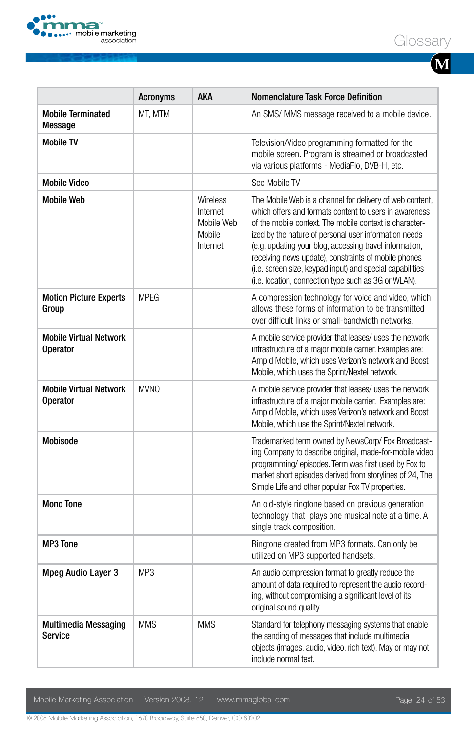



**M**

|                                                  | <b>Acronyms</b> | <b>AKA</b>                                                      | <b>Nomenclature Task Force Definition</b>                                                                                                                                                                                                                                                                                                                                                                                                                                      |
|--------------------------------------------------|-----------------|-----------------------------------------------------------------|--------------------------------------------------------------------------------------------------------------------------------------------------------------------------------------------------------------------------------------------------------------------------------------------------------------------------------------------------------------------------------------------------------------------------------------------------------------------------------|
| <b>Mobile Terminated</b><br><b>Message</b>       | MT, MTM         |                                                                 | An SMS/ MMS message received to a mobile device.                                                                                                                                                                                                                                                                                                                                                                                                                               |
| <b>Mobile TV</b>                                 |                 |                                                                 | Television/Video programming formatted for the<br>mobile screen. Program is streamed or broadcasted<br>via various platforms - MediaFlo, DVB-H, etc.                                                                                                                                                                                                                                                                                                                           |
| <b>Mobile Video</b>                              |                 |                                                                 | See Mobile TV                                                                                                                                                                                                                                                                                                                                                                                                                                                                  |
| <b>Mobile Web</b>                                |                 | <b>Wireless</b><br>Internet<br>Mobile Web<br>Mobile<br>Internet | The Mobile Web is a channel for delivery of web content,<br>which offers and formats content to users in awareness<br>of the mobile context. The mobile context is character-<br>ized by the nature of personal user information needs<br>(e.g. updating your blog, accessing travel information,<br>receiving news update), constraints of mobile phones<br>(i.e. screen size, keypad input) and special capabilities<br>(i.e. location, connection type such as 3G or WLAN). |
| <b>Motion Picture Experts</b><br>Group           | <b>MPEG</b>     |                                                                 | A compression technology for voice and video, which<br>allows these forms of information to be transmitted<br>over difficult links or small-bandwidth networks.                                                                                                                                                                                                                                                                                                                |
| <b>Mobile Virtual Network</b><br><b>Operator</b> |                 |                                                                 | A mobile service provider that leases/ uses the network<br>infrastructure of a major mobile carrier. Examples are:<br>Amp'd Mobile, which uses Verizon's network and Boost<br>Mobile, which uses the Sprint/Nextel network.                                                                                                                                                                                                                                                    |
| <b>Mobile Virtual Network</b><br><b>Operator</b> | <b>MVNO</b>     |                                                                 | A mobile service provider that leases/ uses the network<br>infrastructure of a major mobile carrier. Examples are:<br>Amp'd Mobile, which uses Verizon's network and Boost<br>Mobile, which use the Sprint/Nextel network.                                                                                                                                                                                                                                                     |
| <b>Mobisode</b>                                  |                 |                                                                 | Trademarked term owned by NewsCorp/Fox Broadcast-<br>ing Company to describe original, made-for-mobile video<br>programming/episodes. Term was first used by Fox to<br>market short episodes derived from storylines of 24, The<br>Simple Life and other popular Fox TV properties.                                                                                                                                                                                            |
| <b>Mono Tone</b>                                 |                 |                                                                 | An old-style ringtone based on previous generation<br>technology, that plays one musical note at a time. A<br>single track composition.                                                                                                                                                                                                                                                                                                                                        |
| <b>MP3 Tone</b>                                  |                 |                                                                 | Ringtone created from MP3 formats. Can only be<br>utilized on MP3 supported handsets.                                                                                                                                                                                                                                                                                                                                                                                          |
| <b>Mpeg Audio Layer 3</b>                        | MP3             |                                                                 | An audio compression format to greatly reduce the<br>amount of data required to represent the audio record-<br>ing, without compromising a significant level of its<br>original sound quality.                                                                                                                                                                                                                                                                                 |
| <b>Multimedia Messaging</b><br><b>Service</b>    | <b>MMS</b>      | <b>MMS</b>                                                      | Standard for telephony messaging systems that enable<br>the sending of messages that include multimedia<br>objects (images, audio, video, rich text). May or may not<br>include normal text.                                                                                                                                                                                                                                                                                   |

Mobile Marketing Association | Version 2008. 12 www.mmaglobal.com Page 24 of 53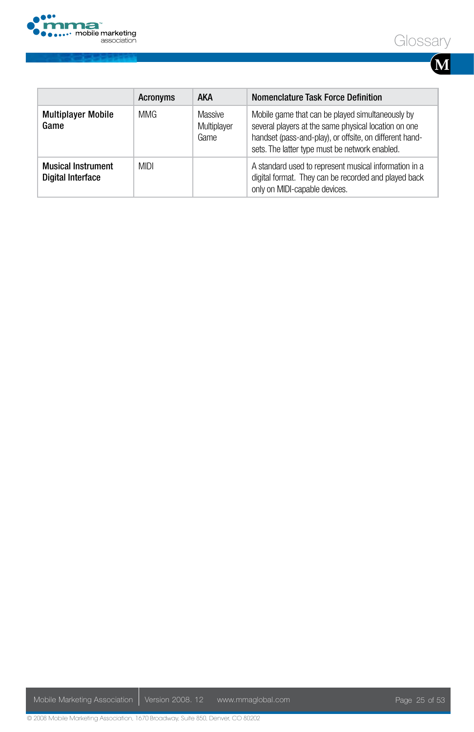





|                                                       | <b>Acronyms</b> | AKA                            | Nomenclature Task Force Definition                                                                                                                                                                                    |
|-------------------------------------------------------|-----------------|--------------------------------|-----------------------------------------------------------------------------------------------------------------------------------------------------------------------------------------------------------------------|
| <b>Multiplayer Mobile</b><br>Game                     | <b>MMG</b>      | Massive<br>Multiplayer<br>Game | Mobile game that can be played simultaneously by<br>several players at the same physical location on one<br>handset (pass-and-play), or offsite, on different hand-<br>sets. The latter type must be network enabled. |
| <b>Musical Instrument</b><br><b>Digital Interface</b> | <b>MIDI</b>     |                                | A standard used to represent musical information in a<br>digital format. They can be recorded and played back<br>only on MIDI-capable devices.                                                                        |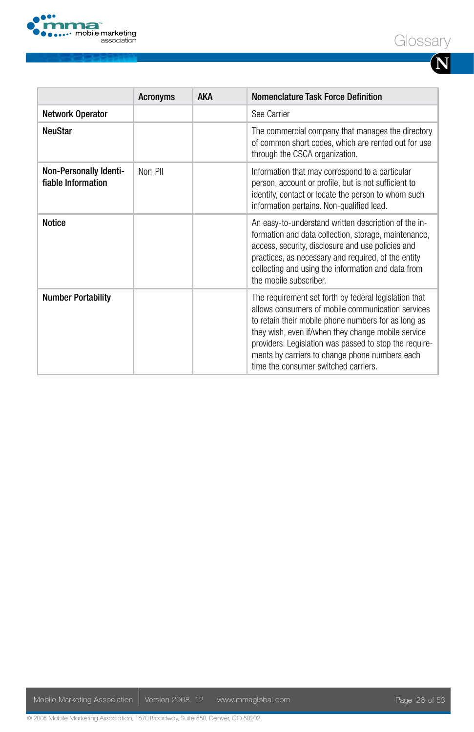



**N**

|                                              | Acronyms | <b>AKA</b> | Nomenclature Task Force Definition                                                                                                                                                                                                                                                                                                                                          |
|----------------------------------------------|----------|------------|-----------------------------------------------------------------------------------------------------------------------------------------------------------------------------------------------------------------------------------------------------------------------------------------------------------------------------------------------------------------------------|
| Network Operator                             |          |            | See Carrier                                                                                                                                                                                                                                                                                                                                                                 |
| NeuStar                                      |          |            | The commercial company that manages the directory<br>of common short codes, which are rented out for use<br>through the CSCA organization.                                                                                                                                                                                                                                  |
| Non-Personally Identi-<br>fiable Information | Non-Pll  |            | Information that may correspond to a particular<br>person, account or profile, but is not sufficient to<br>identify, contact or locate the person to whom such<br>information pertains. Non-qualified lead.                                                                                                                                                                 |
| Notice                                       |          |            | An easy-to-understand written description of the in-<br>formation and data collection, storage, maintenance,<br>access, security, disclosure and use policies and<br>practices, as necessary and required, of the entity<br>collecting and using the information and data from<br>the mobile subscriber.                                                                    |
| Number Portability                           |          |            | The requirement set forth by federal legislation that<br>allows consumers of mobile communication services<br>to retain their mobile phone numbers for as long as<br>they wish, even if/when they change mobile service<br>providers. Legislation was passed to stop the require-<br>ments by carriers to change phone numbers each<br>time the consumer switched carriers. |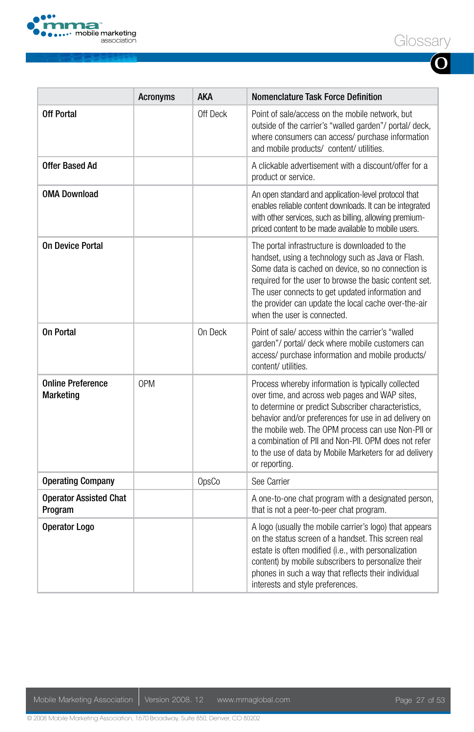

**O**

|                                              | <b>Acronyms</b> | aka      | <b>Nomenclature Task Force Definition</b>                                                                                                                                                                                                                                                                                                                                                                     |
|----------------------------------------------|-----------------|----------|---------------------------------------------------------------------------------------------------------------------------------------------------------------------------------------------------------------------------------------------------------------------------------------------------------------------------------------------------------------------------------------------------------------|
| <b>Off Portal</b>                            |                 | Off Deck | Point of sale/access on the mobile network, but<br>outside of the carrier's "walled garden"/portal/deck,<br>where consumers can access/ purchase information<br>and mobile products/ content/ utilities.                                                                                                                                                                                                      |
| <b>Offer Based Ad</b>                        |                 |          | A clickable advertisement with a discount/offer for a<br>product or service.                                                                                                                                                                                                                                                                                                                                  |
| <b>OMA Download</b>                          |                 |          | An open standard and application-level protocol that<br>enables reliable content downloads. It can be integrated<br>with other services, such as billing, allowing premium-<br>priced content to be made available to mobile users.                                                                                                                                                                           |
| On Device Portal                             |                 |          | The portal infrastructure is downloaded to the<br>handset, using a technology such as Java or Flash.<br>Some data is cached on device, so no connection is<br>required for the user to browse the basic content set.<br>The user connects to get updated information and<br>the provider can update the local cache over-the-air<br>when the user is connected.                                               |
| On Portal                                    |                 | On Deck  | Point of sale/access within the carrier's "walled<br>garden"/ portal/ deck where mobile customers can<br>access/ purchase information and mobile products/<br>content/utilities.                                                                                                                                                                                                                              |
| <b>Online Preference</b><br><b>Marketing</b> | <b>OPM</b>      |          | Process whereby information is typically collected<br>over time, and across web pages and WAP sites,<br>to determine or predict Subscriber characteristics,<br>behavior and/or preferences for use in ad delivery on<br>the mobile web. The OPM process can use Non-PII or<br>a combination of PII and Non-PII. OPM does not refer<br>to the use of data by Mobile Marketers for ad delivery<br>or reporting. |
| <b>Operating Company</b>                     |                 | OpsCo    | See Carrier                                                                                                                                                                                                                                                                                                                                                                                                   |
| <b>Operator Assisted Chat</b><br>Program     |                 |          | A one-to-one chat program with a designated person,<br>that is not a peer-to-peer chat program.                                                                                                                                                                                                                                                                                                               |
| Operator Logo                                |                 |          | A logo (usually the mobile carrier's logo) that appears<br>on the status screen of a handset. This screen real<br>estate is often modified (i.e., with personalization<br>content) by mobile subscribers to personalize their<br>phones in such a way that reflects their individual<br>interests and style preferences.                                                                                      |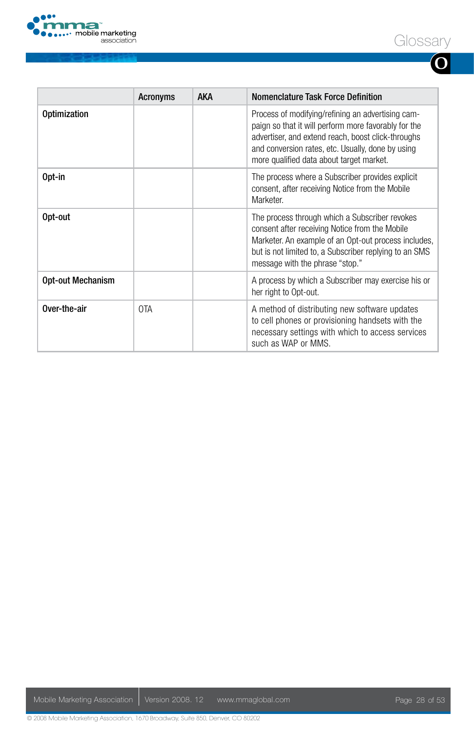

|--|--|

| I<br>I<br>I |  |
|-------------|--|

|                          | <b>Acronyms</b> | <b>AKA</b> | Nomenclature Task Force Definition                                                                                                                                                                                                                               |
|--------------------------|-----------------|------------|------------------------------------------------------------------------------------------------------------------------------------------------------------------------------------------------------------------------------------------------------------------|
| <b>Optimization</b>      |                 |            | Process of modifying/refining an advertising cam-<br>paign so that it will perform more favorably for the<br>advertiser, and extend reach, boost click-throughs<br>and conversion rates, etc. Usually, done by using<br>more qualified data about target market. |
| Opt-in                   |                 |            | The process where a Subscriber provides explicit<br>consent, after receiving Notice from the Mobile<br>Marketer.                                                                                                                                                 |
| Opt-out                  |                 |            | The process through which a Subscriber revokes<br>consent after receiving Notice from the Mobile<br>Marketer. An example of an Opt-out process includes,<br>but is not limited to, a Subscriber replying to an SMS<br>message with the phrase "stop."            |
| <b>Opt-out Mechanism</b> |                 |            | A process by which a Subscriber may exercise his or<br>her right to Opt-out.                                                                                                                                                                                     |
| Over-the-air             | 0TA             |            | A method of distributing new software updates<br>to cell phones or provisioning handsets with the<br>necessary settings with which to access services<br>such as WAP or MMS.                                                                                     |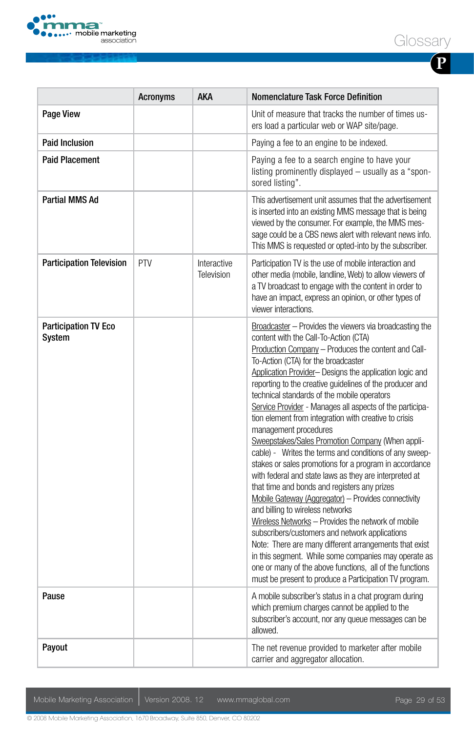

| I<br>I<br>I |  |
|-------------|--|

|                                       | Acronyms | AKA                       | <b>Nomenclature Task Force Definition</b>                                                                                                                                                                                                                                                                                                                                                                                                                                                                                                                                                                                                                                                                                                                                                                                                                                                                                                                                                                                                                                                                                                                                                                                                       |
|---------------------------------------|----------|---------------------------|-------------------------------------------------------------------------------------------------------------------------------------------------------------------------------------------------------------------------------------------------------------------------------------------------------------------------------------------------------------------------------------------------------------------------------------------------------------------------------------------------------------------------------------------------------------------------------------------------------------------------------------------------------------------------------------------------------------------------------------------------------------------------------------------------------------------------------------------------------------------------------------------------------------------------------------------------------------------------------------------------------------------------------------------------------------------------------------------------------------------------------------------------------------------------------------------------------------------------------------------------|
| <b>Page View</b>                      |          |                           | Unit of measure that tracks the number of times us-<br>ers load a particular web or WAP site/page.                                                                                                                                                                                                                                                                                                                                                                                                                                                                                                                                                                                                                                                                                                                                                                                                                                                                                                                                                                                                                                                                                                                                              |
| <b>Paid Inclusion</b>                 |          |                           | Paying a fee to an engine to be indexed.                                                                                                                                                                                                                                                                                                                                                                                                                                                                                                                                                                                                                                                                                                                                                                                                                                                                                                                                                                                                                                                                                                                                                                                                        |
| <b>Paid Placement</b>                 |          |                           | Paying a fee to a search engine to have your<br>listing prominently displayed - usually as a "spon-<br>sored listing".                                                                                                                                                                                                                                                                                                                                                                                                                                                                                                                                                                                                                                                                                                                                                                                                                                                                                                                                                                                                                                                                                                                          |
| Partial MMS Ad                        |          |                           | This advertisement unit assumes that the advertisement<br>is inserted into an existing MMS message that is being<br>viewed by the consumer. For example, the MMS mes-<br>sage could be a CBS news alert with relevant news info.<br>This MMS is requested or opted-into by the subscriber.                                                                                                                                                                                                                                                                                                                                                                                                                                                                                                                                                                                                                                                                                                                                                                                                                                                                                                                                                      |
| <b>Participation Television</b>       | PTV      | Interactive<br>Television | Participation TV is the use of mobile interaction and<br>other media (mobile, landline, Web) to allow viewers of<br>a TV broadcast to engage with the content in order to<br>have an impact, express an opinion, or other types of<br>viewer interactions.                                                                                                                                                                                                                                                                                                                                                                                                                                                                                                                                                                                                                                                                                                                                                                                                                                                                                                                                                                                      |
| <b>Participation TV Eco</b><br>System |          |                           | Broadcaster – Provides the viewers via broadcasting the<br>content with the Call-To-Action (CTA)<br>Production Company - Produces the content and Call-<br>To-Action (CTA) for the broadcaster<br>Application Provider- Designs the application logic and<br>reporting to the creative quidelines of the producer and<br>technical standards of the mobile operators<br>Service Provider - Manages all aspects of the participa-<br>tion element from integration with creative to crisis<br>management procedures<br>Sweepstakes/Sales Promotion Company (When appli-<br>cable) - Writes the terms and conditions of any sweep-<br>stakes or sales promotions for a program in accordance<br>with federal and state laws as they are interpreted at<br>that time and bonds and registers any prizes<br>Mobile Gateway (Aggregator) - Provides connectivity<br>and billing to wireless networks<br>Wireless Networks - Provides the network of mobile<br>subscribers/customers and network applications<br>Note: There are many different arrangements that exist<br>in this segment. While some companies may operate as<br>one or many of the above functions, all of the functions<br>must be present to produce a Participation TV program. |
| Pause                                 |          |                           | A mobile subscriber's status in a chat program during<br>which premium charges cannot be applied to the<br>subscriber's account, nor any queue messages can be<br>allowed.                                                                                                                                                                                                                                                                                                                                                                                                                                                                                                                                                                                                                                                                                                                                                                                                                                                                                                                                                                                                                                                                      |
| Payout                                |          |                           | The net revenue provided to marketer after mobile<br>carrier and aggregator allocation.                                                                                                                                                                                                                                                                                                                                                                                                                                                                                                                                                                                                                                                                                                                                                                                                                                                                                                                                                                                                                                                                                                                                                         |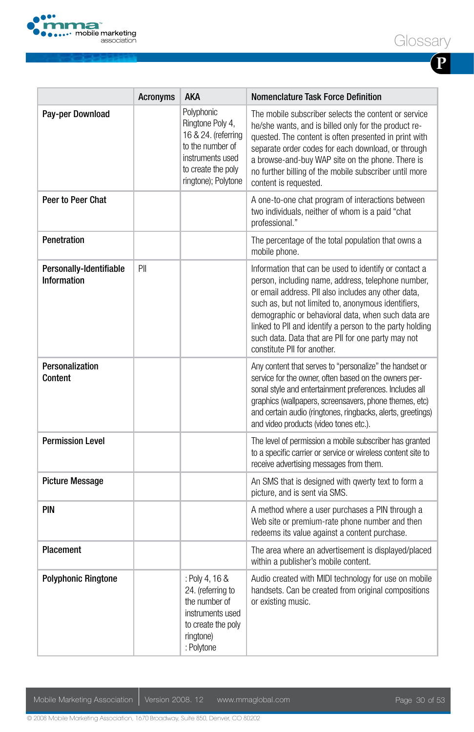

| I<br>I<br>I |  |
|-------------|--|

|                                               | <b>Acronyms</b> | <b>AKA</b>                                                                                                                                 | <b>Nomenclature Task Force Definition</b>                                                                                                                                                                                                                                                                                                                                                                                        |
|-----------------------------------------------|-----------------|--------------------------------------------------------------------------------------------------------------------------------------------|----------------------------------------------------------------------------------------------------------------------------------------------------------------------------------------------------------------------------------------------------------------------------------------------------------------------------------------------------------------------------------------------------------------------------------|
| Pay-per Download                              |                 | Polyphonic<br>Ringtone Poly 4,<br>16 & 24. (referring<br>to the number of<br>instruments used<br>to create the poly<br>ringtone); Polytone | The mobile subscriber selects the content or service<br>he/she wants, and is billed only for the product re-<br>quested. The content is often presented in print with<br>separate order codes for each download, or through<br>a browse-and-buy WAP site on the phone. There is<br>no further billing of the mobile subscriber until more<br>content is requested.                                                               |
| Peer to Peer Chat                             |                 |                                                                                                                                            | A one-to-one chat program of interactions between<br>two individuals, neither of whom is a paid "chat<br>professional."                                                                                                                                                                                                                                                                                                          |
| Penetration                                   |                 |                                                                                                                                            | The percentage of the total population that owns a<br>mobile phone.                                                                                                                                                                                                                                                                                                                                                              |
| Personally-Identifiable<br><b>Information</b> | PII             |                                                                                                                                            | Information that can be used to identify or contact a<br>person, including name, address, telephone number,<br>or email address. Pll also includes any other data,<br>such as, but not limited to, anonymous identifiers,<br>demographic or behavioral data, when such data are<br>linked to PII and identify a person to the party holding<br>such data. Data that are PII for one party may not<br>constitute PII for another. |
| Personalization<br>Content                    |                 |                                                                                                                                            | Any content that serves to "personalize" the handset or<br>service for the owner, often based on the owners per-<br>sonal style and entertainment preferences. Includes all<br>graphics (wallpapers, screensavers, phone themes, etc)<br>and certain audio (ringtones, ringbacks, alerts, greetings)<br>and video products (video tones etc.).                                                                                   |
| <b>Permission Level</b>                       |                 |                                                                                                                                            | The level of permission a mobile subscriber has granted<br>to a specific carrier or service or wireless content site to<br>receive advertising messages from them.                                                                                                                                                                                                                                                               |
| <b>Picture Message</b>                        |                 |                                                                                                                                            | An SMS that is designed with qwerty text to form a<br>picture, and is sent via SMS.                                                                                                                                                                                                                                                                                                                                              |
| PIN                                           |                 |                                                                                                                                            | A method where a user purchases a PIN through a<br>Web site or premium-rate phone number and then<br>redeems its value against a content purchase.                                                                                                                                                                                                                                                                               |
| Placement                                     |                 |                                                                                                                                            | The area where an advertisement is displayed/placed<br>within a publisher's mobile content.                                                                                                                                                                                                                                                                                                                                      |
| <b>Polyphonic Ringtone</b>                    |                 | : Poly 4, 16 &<br>24. (referring to<br>the number of<br>instruments used<br>to create the poly<br>ringtone)<br>: Polytone                  | Audio created with MIDI technology for use on mobile<br>handsets. Can be created from original compositions<br>or existing music.                                                                                                                                                                                                                                                                                                |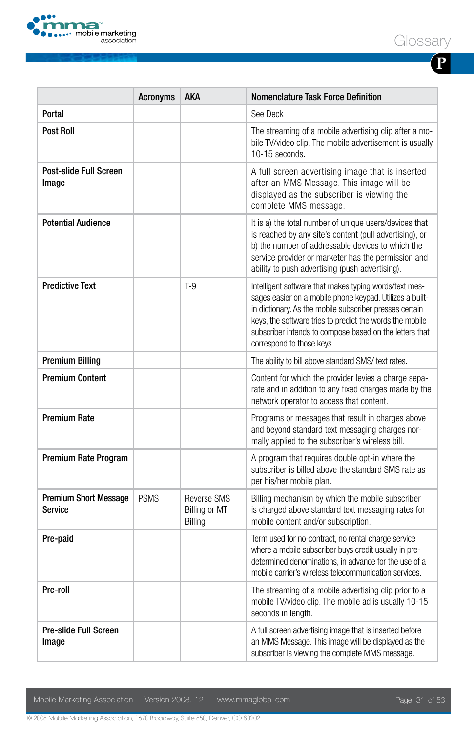



| I      |  |
|--------|--|
| I<br>I |  |

|                                         | <b>Acronyms</b> | AKA                                     | <b>Nomenclature Task Force Definition</b>                                                                                                                                                                                                                                                                                         |
|-----------------------------------------|-----------------|-----------------------------------------|-----------------------------------------------------------------------------------------------------------------------------------------------------------------------------------------------------------------------------------------------------------------------------------------------------------------------------------|
| Portal                                  |                 |                                         | See Deck                                                                                                                                                                                                                                                                                                                          |
| <b>Post Roll</b>                        |                 |                                         | The streaming of a mobile advertising clip after a mo-<br>bile TV/video clip. The mobile advertisement is usually<br>$10-15$ seconds.                                                                                                                                                                                             |
| Post-slide Full Screen<br>Image         |                 |                                         | A full screen advertising image that is inserted<br>after an MMS Message. This image will be<br>displayed as the subscriber is viewing the<br>complete MMS message.                                                                                                                                                               |
| <b>Potential Audience</b>               |                 |                                         | It is a) the total number of unique users/devices that<br>is reached by any site's content (pull advertising), or<br>b) the number of addressable devices to which the<br>service provider or marketer has the permission and<br>ability to push advertising (push advertising).                                                  |
| <b>Predictive Text</b>                  |                 | $T-9$                                   | Intelligent software that makes typing words/text mes-<br>sages easier on a mobile phone keypad. Utilizes a built-<br>in dictionary. As the mobile subscriber presses certain<br>keys, the software tries to predict the words the mobile<br>subscriber intends to compose based on the letters that<br>correspond to those keys. |
| <b>Premium Billing</b>                  |                 |                                         | The ability to bill above standard SMS/ text rates.                                                                                                                                                                                                                                                                               |
| <b>Premium Content</b>                  |                 |                                         | Content for which the provider levies a charge sepa-<br>rate and in addition to any fixed charges made by the<br>network operator to access that content.                                                                                                                                                                         |
| <b>Premium Rate</b>                     |                 |                                         | Programs or messages that result in charges above<br>and beyond standard text messaging charges nor-<br>mally applied to the subscriber's wireless bill.                                                                                                                                                                          |
| Premium Rate Program                    |                 |                                         | A program that requires double opt-in where the<br>subscriber is billed above the standard SMS rate as<br>per his/her mobile plan.                                                                                                                                                                                                |
| <b>Premium Short Message</b><br>Service | <b>PSMS</b>     | Reverse SMS<br>Billing or MT<br>Billing | Billing mechanism by which the mobile subscriber<br>is charged above standard text messaging rates for<br>mobile content and/or subscription.                                                                                                                                                                                     |
| Pre-paid                                |                 |                                         | Term used for no-contract, no rental charge service<br>where a mobile subscriber buys credit usually in pre-<br>determined denominations, in advance for the use of a<br>mobile carrier's wireless telecommunication services.                                                                                                    |
| Pre-roll                                |                 |                                         | The streaming of a mobile advertising clip prior to a<br>mobile TV/video clip. The mobile ad is usually 10-15<br>seconds in length.                                                                                                                                                                                               |
| Pre-slide Full Screen<br>Image          |                 |                                         | A full screen advertising image that is inserted before<br>an MMS Message. This image will be displayed as the<br>subscriber is viewing the complete MMS message.                                                                                                                                                                 |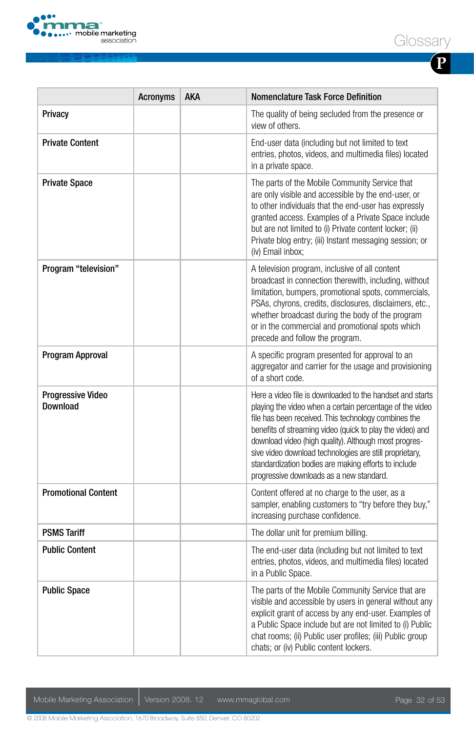

| I<br>I<br>I |  |
|-------------|--|

|                                      | <b>Acronyms</b> | <b>AKA</b> | <b>Nomenclature Task Force Definition</b>                                                                                                                                                                                                                                                                                                                                                                                                                          |
|--------------------------------------|-----------------|------------|--------------------------------------------------------------------------------------------------------------------------------------------------------------------------------------------------------------------------------------------------------------------------------------------------------------------------------------------------------------------------------------------------------------------------------------------------------------------|
| Privacy                              |                 |            | The quality of being secluded from the presence or<br>view of others.                                                                                                                                                                                                                                                                                                                                                                                              |
| <b>Private Content</b>               |                 |            | End-user data (including but not limited to text<br>entries, photos, videos, and multimedia files) located<br>in a private space.                                                                                                                                                                                                                                                                                                                                  |
| <b>Private Space</b>                 |                 |            | The parts of the Mobile Community Service that<br>are only visible and accessible by the end-user, or<br>to other individuals that the end-user has expressly<br>granted access. Examples of a Private Space include<br>but are not limited to (i) Private content locker; (ii)<br>Private blog entry; (iii) Instant messaging session; or<br>(iv) Email inbox;                                                                                                    |
| Program "television"                 |                 |            | A television program, inclusive of all content<br>broadcast in connection therewith, including, without<br>limitation, bumpers, promotional spots, commercials,<br>PSAs, chyrons, credits, disclosures, disclaimers, etc.,<br>whether broadcast during the body of the program<br>or in the commercial and promotional spots which<br>precede and follow the program.                                                                                              |
| Program Approval                     |                 |            | A specific program presented for approval to an<br>aggregator and carrier for the usage and provisioning<br>of a short code.                                                                                                                                                                                                                                                                                                                                       |
| <b>Progressive Video</b><br>Download |                 |            | Here a video file is downloaded to the handset and starts<br>playing the video when a certain percentage of the video<br>file has been received. This technology combines the<br>benefits of streaming video (quick to play the video) and<br>download video (high quality). Although most progres-<br>sive video download technologies are still proprietary,<br>standardization bodies are making efforts to include<br>progressive downloads as a new standard. |
| <b>Promotional Content</b>           |                 |            | Content offered at no charge to the user, as a<br>sampler, enabling customers to "try before they buy,"<br>increasing purchase confidence.                                                                                                                                                                                                                                                                                                                         |
| <b>PSMS Tariff</b>                   |                 |            | The dollar unit for premium billing.                                                                                                                                                                                                                                                                                                                                                                                                                               |
| <b>Public Content</b>                |                 |            | The end-user data (including but not limited to text<br>entries, photos, videos, and multimedia files) located<br>in a Public Space.                                                                                                                                                                                                                                                                                                                               |
| <b>Public Space</b>                  |                 |            | The parts of the Mobile Community Service that are<br>visible and accessible by users in general without any<br>explicit grant of access by any end-user. Examples of<br>a Public Space include but are not limited to (i) Public<br>chat rooms; (ii) Public user profiles; (iii) Public group<br>chats; or (iv) Public content lockers.                                                                                                                           |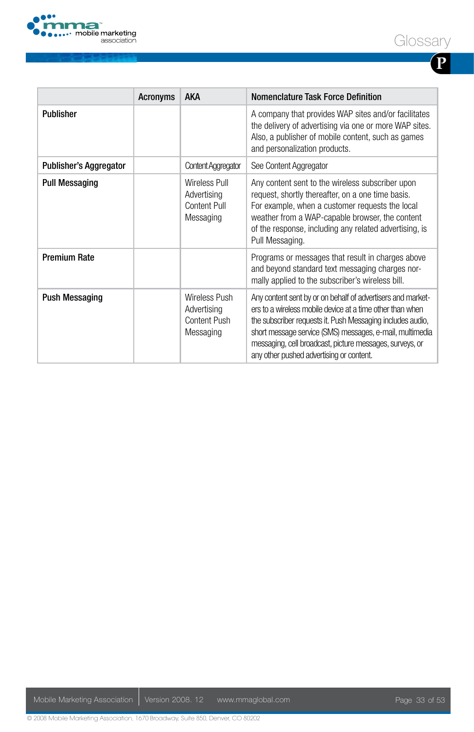

**P**

|                               | <b>Acronyms</b> | <b>AKA</b>                                                | Nomenclature Task Force Definition                                                                                                                                                                                                                                                                                                                         |
|-------------------------------|-----------------|-----------------------------------------------------------|------------------------------------------------------------------------------------------------------------------------------------------------------------------------------------------------------------------------------------------------------------------------------------------------------------------------------------------------------------|
| <b>Publisher</b>              |                 |                                                           | A company that provides WAP sites and/or facilitates<br>the delivery of advertising via one or more WAP sites.<br>Also, a publisher of mobile content, such as games<br>and personalization products.                                                                                                                                                      |
| <b>Publisher's Aggregator</b> |                 | <b>Content Aggregator</b>                                 | See Content Aggregator                                                                                                                                                                                                                                                                                                                                     |
| <b>Pull Messaging</b>         |                 | Wireless Pull<br>Advertising<br>Content Pull<br>Messaging | Any content sent to the wireless subscriber upon<br>request, shortly thereafter, on a one time basis.<br>For example, when a customer requests the local<br>weather from a WAP-capable browser, the content<br>of the response, including any related advertising, is<br>Pull Messaging.                                                                   |
| <b>Premium Rate</b>           |                 |                                                           | Programs or messages that result in charges above<br>and beyond standard text messaging charges nor-<br>mally applied to the subscriber's wireless bill.                                                                                                                                                                                                   |
| <b>Push Messaging</b>         |                 | Wireless Push<br>Advertising<br>Content Push<br>Messaging | Any content sent by or on behalf of advertisers and market-<br>ers to a wireless mobile device at a time other than when<br>the subscriber requests it. Push Messaging includes audio,<br>short message service (SMS) messages, e-mail, multimedia<br>messaging, cell broadcast, picture messages, surveys, or<br>any other pushed advertising or content. |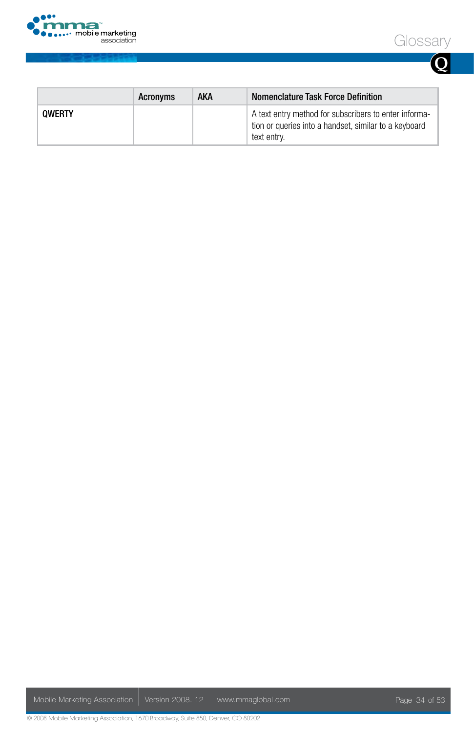





|               | Acronyms | AKA | Nomenclature Task Force Definition                                                                                            |
|---------------|----------|-----|-------------------------------------------------------------------------------------------------------------------------------|
| <b>OWERTY</b> |          |     | A text entry method for subscribers to enter informa-<br>tion or queries into a handset, similar to a keyboard<br>text entrv. |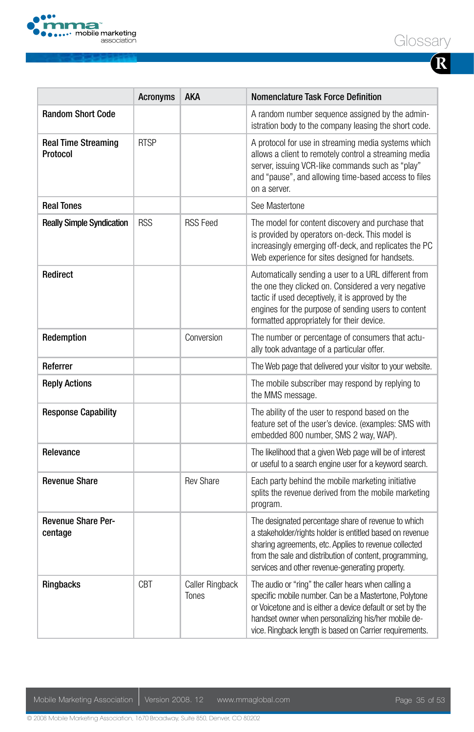

|--|--|

|                                        | <b>Acronyms</b> | AKA                             | <b>Nomenclature Task Force Definition</b>                                                                                                                                                                                                                                                   |
|----------------------------------------|-----------------|---------------------------------|---------------------------------------------------------------------------------------------------------------------------------------------------------------------------------------------------------------------------------------------------------------------------------------------|
| <b>Random Short Code</b>               |                 |                                 | A random number sequence assigned by the admin-<br>istration body to the company leasing the short code.                                                                                                                                                                                    |
| <b>Real Time Streaming</b><br>Protocol | <b>RTSP</b>     |                                 | A protocol for use in streaming media systems which<br>allows a client to remotely control a streaming media<br>server, issuing VCR-like commands such as "play"<br>and "pause", and allowing time-based access to files<br>on a server.                                                    |
| <b>Real Tones</b>                      |                 |                                 | See Mastertone                                                                                                                                                                                                                                                                              |
| <b>Really Simple Syndication</b>       | <b>RSS</b>      | <b>RSS Feed</b>                 | The model for content discovery and purchase that<br>is provided by operators on-deck. This model is<br>increasingly emerging off-deck, and replicates the PC<br>Web experience for sites designed for handsets.                                                                            |
| Redirect                               |                 |                                 | Automatically sending a user to a URL different from<br>the one they clicked on. Considered a very negative<br>tactic if used deceptively, it is approved by the<br>engines for the purpose of sending users to content<br>formatted appropriately for their device.                        |
| Redemption                             |                 | Conversion                      | The number or percentage of consumers that actu-<br>ally took advantage of a particular offer.                                                                                                                                                                                              |
| Referrer                               |                 |                                 | The Web page that delivered your visitor to your website.                                                                                                                                                                                                                                   |
| <b>Reply Actions</b>                   |                 |                                 | The mobile subscriber may respond by replying to<br>the MMS message.                                                                                                                                                                                                                        |
| <b>Response Capability</b>             |                 |                                 | The ability of the user to respond based on the<br>feature set of the user's device. (examples: SMS with<br>embedded 800 number, SMS 2 way, WAP).                                                                                                                                           |
| Relevance                              |                 |                                 | The likelihood that a given Web page will be of interest<br>or useful to a search engine user for a keyword search.                                                                                                                                                                         |
| <b>Revenue Share</b>                   |                 | <b>Rev Share</b>                | Each party behind the mobile marketing initiative<br>splits the revenue derived from the mobile marketing<br>program.                                                                                                                                                                       |
| <b>Revenue Share Per-</b><br>centage   |                 |                                 | The designated percentage share of revenue to which<br>a stakeholder/rights holder is entitled based on revenue<br>sharing agreements, etc. Applies to revenue collected<br>from the sale and distribution of content, programming,<br>services and other revenue-generating property.      |
| Ringbacks                              | <b>CBT</b>      | Caller Ringback<br><b>Tones</b> | The audio or "ring" the caller hears when calling a<br>specific mobile number. Can be a Mastertone, Polytone<br>or Voicetone and is either a device default or set by the<br>handset owner when personalizing his/her mobile de-<br>vice. Ringback length is based on Carrier requirements. |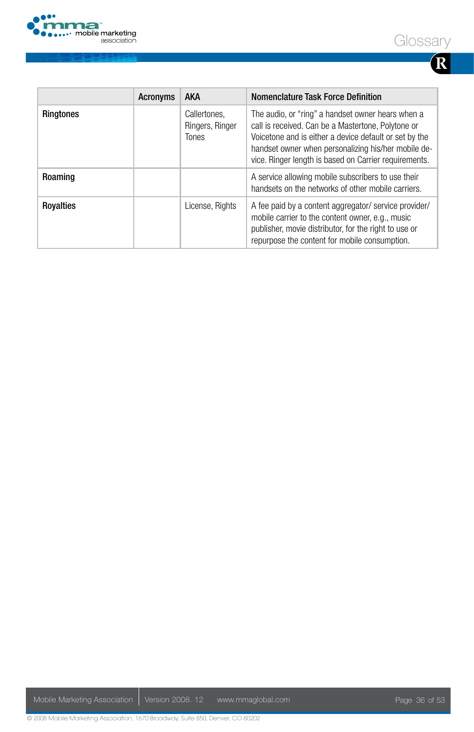

|--|--|

|                  | <b>Acronyms</b> | <b>AKA</b>                                      | Nomenclature Task Force Definition                                                                                                                                                                                                                                                |
|------------------|-----------------|-------------------------------------------------|-----------------------------------------------------------------------------------------------------------------------------------------------------------------------------------------------------------------------------------------------------------------------------------|
| <b>Ringtones</b> |                 | Callertones.<br>Ringers, Ringer<br><b>Tones</b> | The audio, or "ring" a handset owner hears when a<br>call is received. Can be a Mastertone, Polytone or<br>Voicetone and is either a device default or set by the<br>handset owner when personalizing his/her mobile de-<br>vice. Ringer length is based on Carrier requirements. |
| Roaming          |                 |                                                 | A service allowing mobile subscribers to use their<br>handsets on the networks of other mobile carriers.                                                                                                                                                                          |
| <b>Rovalties</b> |                 | License, Rights                                 | A fee paid by a content aggregator/service provider/<br>mobile carrier to the content owner, e.g., music<br>publisher, movie distributor, for the right to use or<br>repurpose the content for mobile consumption.                                                                |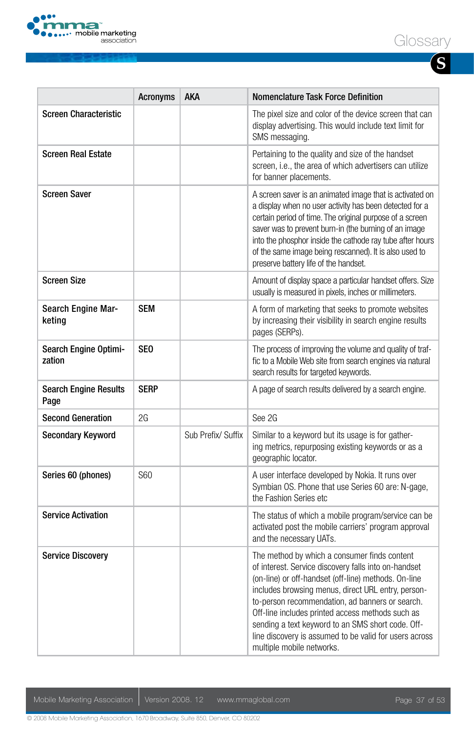

**S**

|                                      | <b>Acronyms</b> | AKA                | Nomenclature Task Force Definition                                                                                                                                                                                                                                                                                                                                                                                                                                    |
|--------------------------------------|-----------------|--------------------|-----------------------------------------------------------------------------------------------------------------------------------------------------------------------------------------------------------------------------------------------------------------------------------------------------------------------------------------------------------------------------------------------------------------------------------------------------------------------|
| <b>Screen Characteristic</b>         |                 |                    | The pixel size and color of the device screen that can<br>display advertising. This would include text limit for<br>SMS messaging.                                                                                                                                                                                                                                                                                                                                    |
| <b>Screen Real Estate</b>            |                 |                    | Pertaining to the quality and size of the handset<br>screen, i.e., the area of which advertisers can utilize<br>for banner placements.                                                                                                                                                                                                                                                                                                                                |
| <b>Screen Saver</b>                  |                 |                    | A screen saver is an animated image that is activated on<br>a display when no user activity has been detected for a<br>certain period of time. The original purpose of a screen<br>saver was to prevent burn-in (the burning of an image<br>into the phosphor inside the cathode ray tube after hours<br>of the same image being rescanned). It is also used to<br>preserve battery life of the handset.                                                              |
| <b>Screen Size</b>                   |                 |                    | Amount of display space a particular handset offers. Size<br>usually is measured in pixels, inches or millimeters.                                                                                                                                                                                                                                                                                                                                                    |
| Search Engine Mar-<br>keting         | <b>SEM</b>      |                    | A form of marketing that seeks to promote websites<br>by increasing their visibility in search engine results<br>pages (SERPs).                                                                                                                                                                                                                                                                                                                                       |
| Search Engine Optimi-<br>zation      | SE <sub>0</sub> |                    | The process of improving the volume and quality of traf-<br>fic to a Mobile Web site from search engines via natural<br>search results for targeted keywords.                                                                                                                                                                                                                                                                                                         |
| <b>Search Engine Results</b><br>Page | <b>SERP</b>     |                    | A page of search results delivered by a search engine.                                                                                                                                                                                                                                                                                                                                                                                                                |
| <b>Second Generation</b>             | 2G              |                    | See 2G                                                                                                                                                                                                                                                                                                                                                                                                                                                                |
| <b>Secondary Keyword</b>             |                 | Sub Prefix/ Suffix | Similar to a keyword but its usage is for gather-<br>ing metrics, repurposing existing keywords or as a<br>geographic locator.                                                                                                                                                                                                                                                                                                                                        |
| Series 60 (phones)                   | S60             |                    | A user interface developed by Nokia. It runs over<br>Symbian OS. Phone that use Series 60 are: N-gage,<br>the Fashion Series etc                                                                                                                                                                                                                                                                                                                                      |
| <b>Service Activation</b>            |                 |                    | The status of which a mobile program/service can be<br>activated post the mobile carriers' program approval<br>and the necessary UATs.                                                                                                                                                                                                                                                                                                                                |
| <b>Service Discovery</b>             |                 |                    | The method by which a consumer finds content<br>of interest. Service discovery falls into on-handset<br>(on-line) or off-handset (off-line) methods. On-line<br>includes browsing menus, direct URL entry, person-<br>to-person recommendation, ad banners or search.<br>Off-line includes printed access methods such as<br>sending a text keyword to an SMS short code. Off-<br>line discovery is assumed to be valid for users across<br>multiple mobile networks. |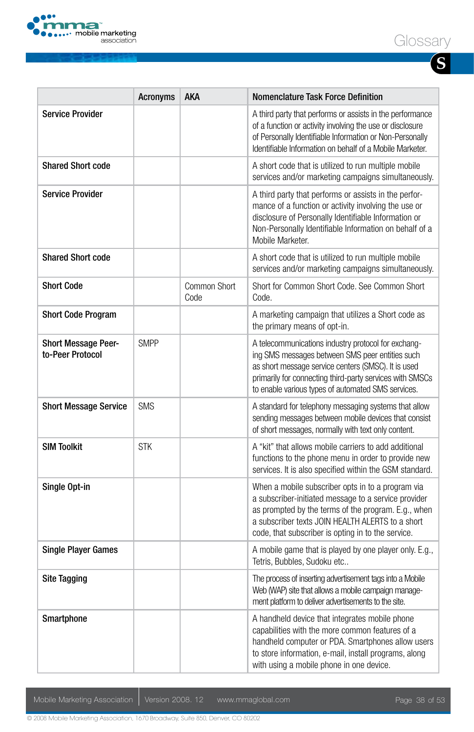

| ハヒコ<br>$\cdot$ $\cap$ r $\cdot$<br>JC.<br>╮<br>いロー |  |
|----------------------------------------------------|--|
|----------------------------------------------------|--|

| I<br>I<br>I |  |
|-------------|--|

|                                                | <b>Acronyms</b> | <b>AKA</b>           | <b>Nomenclature Task Force Definition</b>                                                                                                                                                                                                                                       |
|------------------------------------------------|-----------------|----------------------|---------------------------------------------------------------------------------------------------------------------------------------------------------------------------------------------------------------------------------------------------------------------------------|
| <b>Service Provider</b>                        |                 |                      | A third party that performs or assists in the performance<br>of a function or activity involving the use or disclosure<br>of Personally Identifiable Information or Non-Personally<br>Identifiable Information on behalf of a Mobile Marketer.                                  |
| <b>Shared Short code</b>                       |                 |                      | A short code that is utilized to run multiple mobile<br>services and/or marketing campaigns simultaneously.                                                                                                                                                                     |
| <b>Service Provider</b>                        |                 |                      | A third party that performs or assists in the perfor-<br>mance of a function or activity involving the use or<br>disclosure of Personally Identifiable Information or<br>Non-Personally Identifiable Information on behalf of a<br>Mobile Marketer.                             |
| <b>Shared Short code</b>                       |                 |                      | A short code that is utilized to run multiple mobile<br>services and/or marketing campaigns simultaneously.                                                                                                                                                                     |
| <b>Short Code</b>                              |                 | Common Short<br>Code | Short for Common Short Code, See Common Short<br>Code.                                                                                                                                                                                                                          |
| <b>Short Code Program</b>                      |                 |                      | A marketing campaign that utilizes a Short code as<br>the primary means of opt-in.                                                                                                                                                                                              |
| <b>Short Message Peer-</b><br>to-Peer Protocol | <b>SMPP</b>     |                      | A telecommunications industry protocol for exchang-<br>ing SMS messages between SMS peer entities such<br>as short message service centers (SMSC). It is used<br>primarily for connecting third-party services with SMSCs<br>to enable various types of automated SMS services. |
| <b>Short Message Service</b>                   | <b>SMS</b>      |                      | A standard for telephony messaging systems that allow<br>sending messages between mobile devices that consist<br>of short messages, normally with text only content.                                                                                                            |
| <b>SIM Toolkit</b>                             | <b>STK</b>      |                      | A "kit" that allows mobile carriers to add additional<br>functions to the phone menu in order to provide new<br>services. It is also specified within the GSM standard.                                                                                                         |
| Single Opt-in                                  |                 |                      | When a mobile subscriber opts in to a program via<br>a subscriber-initiated message to a service provider<br>as prompted by the terms of the program. E.g., when<br>a subscriber texts JOIN HEALTH ALERTS to a short<br>code, that subscriber is opting in to the service.      |
| <b>Single Player Games</b>                     |                 |                      | A mobile game that is played by one player only. E.g.,<br>Tetris, Bubbles, Sudoku etc                                                                                                                                                                                           |
| <b>Site Tagging</b>                            |                 |                      | The process of inserting advertisement tags into a Mobile<br>Web (WAP) site that allows a mobile campaign manage-<br>ment platform to deliver advertisements to the site.                                                                                                       |
| Smartphone                                     |                 |                      | A handheld device that integrates mobile phone<br>capabilities with the more common features of a<br>handheld computer or PDA. Smartphones allow users<br>to store information, e-mail, install programs, along<br>with using a mobile phone in one device.                     |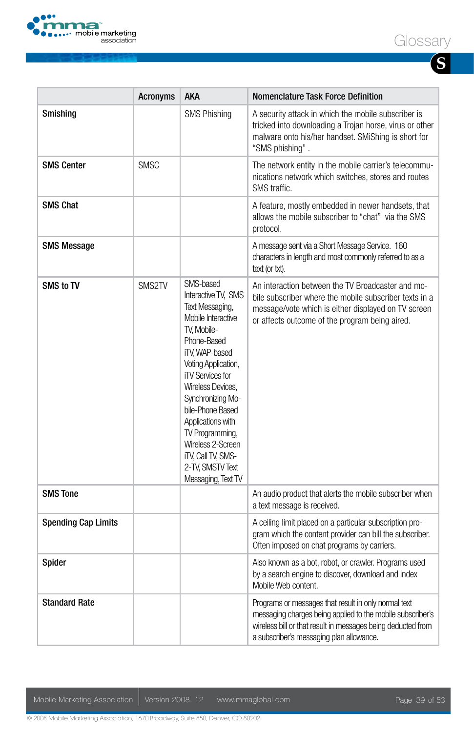

|--|--|

| I<br>I<br>I |  |
|-------------|--|

|                            | <b>Acronyms</b> | aka                                                                                                                                                                                                                                                                                                                                                                    | <b>Nomenclature Task Force Definition</b>                                                                                                                                                                                      |
|----------------------------|-----------------|------------------------------------------------------------------------------------------------------------------------------------------------------------------------------------------------------------------------------------------------------------------------------------------------------------------------------------------------------------------------|--------------------------------------------------------------------------------------------------------------------------------------------------------------------------------------------------------------------------------|
| Smishing                   |                 | <b>SMS Phishing</b>                                                                                                                                                                                                                                                                                                                                                    | A security attack in which the mobile subscriber is<br>tricked into downloading a Trojan horse, virus or other<br>malware onto his/her handset. SMiShing is short for<br>"SMS phishing".                                       |
| <b>SMS Center</b>          | <b>SMSC</b>     |                                                                                                                                                                                                                                                                                                                                                                        | The network entity in the mobile carrier's telecommu-<br>nications network which switches, stores and routes<br>SMS traffic.                                                                                                   |
| <b>SMS Chat</b>            |                 |                                                                                                                                                                                                                                                                                                                                                                        | A feature, mostly embedded in newer handsets, that<br>allows the mobile subscriber to "chat" via the SMS<br>protocol.                                                                                                          |
| <b>SMS Message</b>         |                 |                                                                                                                                                                                                                                                                                                                                                                        | A message sent via a Short Message Service. 160<br>characters in length and most commonly referred to as a<br>text (or txt).                                                                                                   |
| SMS to TV                  | SMS2TV          | SMS-based<br>Interactive TV, SMS<br>Text Messaging,<br>Mobile Interactive<br>TV. Mobile-<br>Phone-Based<br>iTV. WAP-based<br>Voting Application,<br><b>iTV Services for</b><br>Wireless Devices.<br>Synchronizing Mo-<br>bile-Phone Based<br>Applications with<br>TV Programming,<br>Wireless 2-Screen<br>iTV, Call TV, SMS-<br>2-TV, SMSTV Text<br>Messaging, Text TV | An interaction between the TV Broadcaster and mo-<br>bile subscriber where the mobile subscriber texts in a<br>message/vote which is either displayed on TV screen<br>or affects outcome of the program being aired.           |
| <b>SMS Tone</b>            |                 |                                                                                                                                                                                                                                                                                                                                                                        | An audio product that alerts the mobile subscriber when<br>a text message is received.                                                                                                                                         |
| <b>Spending Cap Limits</b> |                 |                                                                                                                                                                                                                                                                                                                                                                        | A ceiling limit placed on a particular subscription pro-<br>gram which the content provider can bill the subscriber.<br>Often imposed on chat programs by carriers.                                                            |
| Spider                     |                 |                                                                                                                                                                                                                                                                                                                                                                        | Also known as a bot, robot, or crawler. Programs used<br>by a search engine to discover, download and index<br>Mobile Web content.                                                                                             |
| <b>Standard Rate</b>       |                 |                                                                                                                                                                                                                                                                                                                                                                        | Programs or messages that result in only normal text<br>messaging charges being applied to the mobile subscriber's<br>wireless bill or that result in messages being deducted from<br>a subscriber's messaging plan allowance. |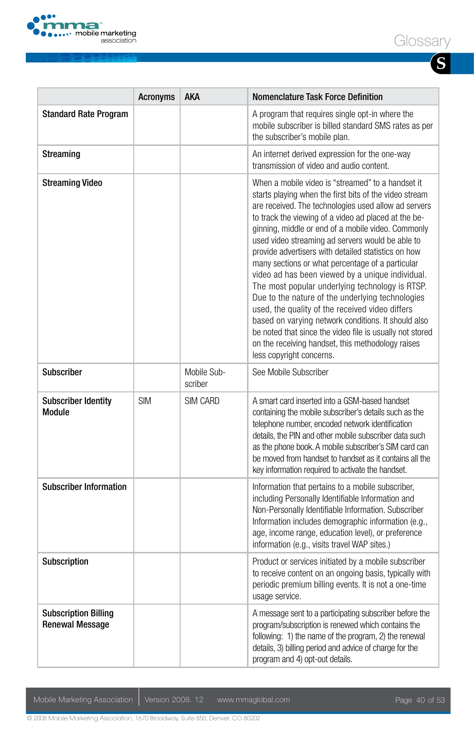

|                                                       | <b>Acronyms</b> | <b>AKA</b>             | <b>Nomenclature Task Force Definition</b>                                                                                                                                                                                                                                                                                                                                                                                                                                                                                                                                                                                                                                                                                                                                                                                                                          |
|-------------------------------------------------------|-----------------|------------------------|--------------------------------------------------------------------------------------------------------------------------------------------------------------------------------------------------------------------------------------------------------------------------------------------------------------------------------------------------------------------------------------------------------------------------------------------------------------------------------------------------------------------------------------------------------------------------------------------------------------------------------------------------------------------------------------------------------------------------------------------------------------------------------------------------------------------------------------------------------------------|
| <b>Standard Rate Program</b>                          |                 |                        | A program that requires single opt-in where the<br>mobile subscriber is billed standard SMS rates as per<br>the subscriber's mobile plan.                                                                                                                                                                                                                                                                                                                                                                                                                                                                                                                                                                                                                                                                                                                          |
| Streaming                                             |                 |                        | An internet derived expression for the one-way<br>transmission of video and audio content.                                                                                                                                                                                                                                                                                                                                                                                                                                                                                                                                                                                                                                                                                                                                                                         |
| <b>Streaming Video</b>                                |                 |                        | When a mobile video is "streamed" to a handset it<br>starts playing when the first bits of the video stream<br>are received. The technologies used allow ad servers<br>to track the viewing of a video ad placed at the be-<br>ginning, middle or end of a mobile video. Commonly<br>used video streaming ad servers would be able to<br>provide advertisers with detailed statistics on how<br>many sections or what percentage of a particular<br>video ad has been viewed by a unique individual.<br>The most popular underlying technology is RTSP.<br>Due to the nature of the underlying technologies<br>used, the quality of the received video differs<br>based on varying network conditions. It should also<br>be noted that since the video file is usually not stored<br>on the receiving handset, this methodology raises<br>less copyright concerns. |
| <b>Subscriber</b>                                     |                 | Mobile Sub-<br>scriber | See Mobile Subscriber                                                                                                                                                                                                                                                                                                                                                                                                                                                                                                                                                                                                                                                                                                                                                                                                                                              |
| <b>Subscriber Identity</b><br>Module                  | <b>SIM</b>      | SIM CARD               | A smart card inserted into a GSM-based handset<br>containing the mobile subscriber's details such as the<br>telephone number, encoded network identification<br>details, the PIN and other mobile subscriber data such<br>as the phone book. A mobile subscriber's SIM card can<br>be moved from handset to handset as it contains all the<br>key information required to activate the handset.                                                                                                                                                                                                                                                                                                                                                                                                                                                                    |
| <b>Subscriber Information</b>                         |                 |                        | Information that pertains to a mobile subscriber,<br>including Personally Identifiable Information and<br>Non-Personally Identifiable Information. Subscriber<br>Information includes demographic information (e.g.,<br>age, income range, education level), or preference<br>information (e.g., visits travel WAP sites.)                                                                                                                                                                                                                                                                                                                                                                                                                                                                                                                                         |
| Subscription                                          |                 |                        | Product or services initiated by a mobile subscriber<br>to receive content on an ongoing basis, typically with<br>periodic premium billing events. It is not a one-time<br>usage service.                                                                                                                                                                                                                                                                                                                                                                                                                                                                                                                                                                                                                                                                          |
| <b>Subscription Billing</b><br><b>Renewal Message</b> |                 |                        | A message sent to a participating subscriber before the<br>program/subscription is renewed which contains the<br>following: 1) the name of the program, 2) the renewal<br>details, 3) billing period and advice of charge for the<br>program and 4) opt-out details.                                                                                                                                                                                                                                                                                                                                                                                                                                                                                                                                                                                               |

Mobile Marketing Association | Version 2008. 12 www.mmaglobal.com Page 40 of 53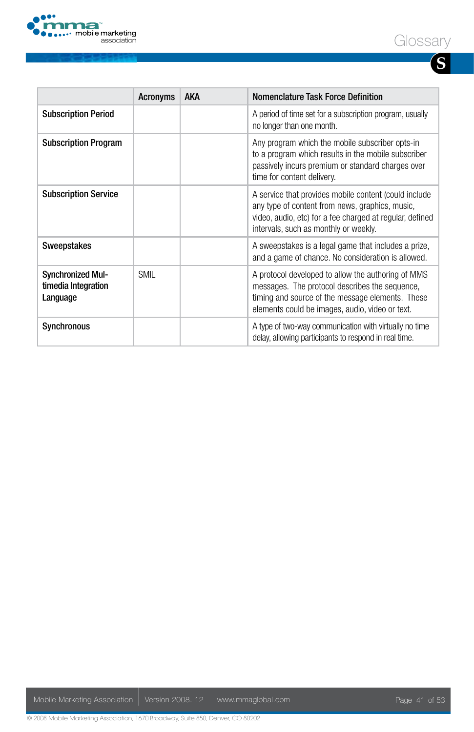

|--|--|

**S**

|                                                             | <b>Acronyms</b> | <b>AKA</b> | Nomenclature Task Force Definition                                                                                                                                                                            |
|-------------------------------------------------------------|-----------------|------------|---------------------------------------------------------------------------------------------------------------------------------------------------------------------------------------------------------------|
| <b>Subscription Period</b>                                  |                 |            | A period of time set for a subscription program, usually<br>no longer than one month.                                                                                                                         |
| <b>Subscription Program</b>                                 |                 |            | Any program which the mobile subscriber opts-in<br>to a program which results in the mobile subscriber<br>passively incurs premium or standard charges over<br>time for content delivery.                     |
| <b>Subscription Service</b>                                 |                 |            | A service that provides mobile content (could include<br>any type of content from news, graphics, music,<br>video, audio, etc) for a fee charged at regular, defined<br>intervals, such as monthly or weekly. |
| Sweepstakes                                                 |                 |            | A sweepstakes is a legal game that includes a prize,<br>and a game of chance. No consideration is allowed.                                                                                                    |
| <b>Synchronized Mul-</b><br>timedia Integration<br>Language | <b>SMIL</b>     |            | A protocol developed to allow the authoring of MMS<br>messages. The protocol describes the sequence,<br>timing and source of the message elements. These<br>elements could be images, audio, video or text.   |
| Synchronous                                                 |                 |            | A type of two-way communication with virtually no time<br>delay, allowing participants to respond in real time.                                                                                               |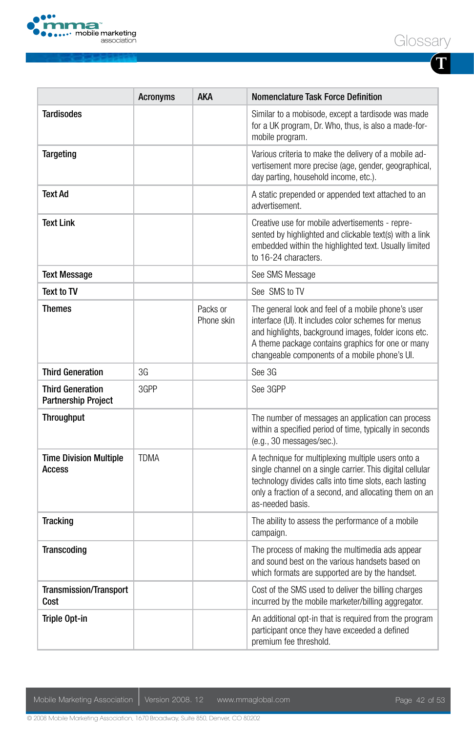



**T**

|                                                | <b>Acronyms</b> | <b>AKA</b>             | Nomenclature Task Force Definition                                                                                                                                                                                                                                      |
|------------------------------------------------|-----------------|------------------------|-------------------------------------------------------------------------------------------------------------------------------------------------------------------------------------------------------------------------------------------------------------------------|
| <b>Tardisodes</b>                              |                 |                        | Similar to a mobisode, except a tardisode was made<br>for a UK program, Dr. Who, thus, is also a made-for-<br>mobile program.                                                                                                                                           |
| <b>Targeting</b>                               |                 |                        | Various criteria to make the delivery of a mobile ad-<br>vertisement more precise (age, gender, geographical,<br>day parting, household income, etc.).                                                                                                                  |
| Text Ad                                        |                 |                        | A static prepended or appended text attached to an<br>advertisement.                                                                                                                                                                                                    |
| Text Link                                      |                 |                        | Creative use for mobile advertisements - repre-<br>sented by highlighted and clickable text(s) with a link<br>embedded within the highlighted text. Usually limited<br>to 16-24 characters.                                                                             |
| <b>Text Message</b>                            |                 |                        | See SMS Message                                                                                                                                                                                                                                                         |
| Text to TV                                     |                 |                        | See SMS to TV                                                                                                                                                                                                                                                           |
| Themes                                         |                 | Packs or<br>Phone skin | The general look and feel of a mobile phone's user<br>interface (UI). It includes color schemes for menus<br>and highlights, background images, folder icons etc.<br>A theme package contains graphics for one or many<br>changeable components of a mobile phone's UI. |
| <b>Third Generation</b>                        | 3G              |                        | See 3G                                                                                                                                                                                                                                                                  |
| <b>Third Generation</b><br>Partnership Project | 3GPP            |                        | See 3GPP                                                                                                                                                                                                                                                                |
| <b>Throughput</b>                              |                 |                        | The number of messages an application can process<br>within a specified period of time, typically in seconds<br>(e.g., 30 messages/sec.).                                                                                                                               |
| <b>Time Division Multiple</b><br>Access        | <b>TDMA</b>     |                        | A technique for multiplexing multiple users onto a<br>single channel on a single carrier. This digital cellular<br>technology divides calls into time slots, each lasting<br>only a fraction of a second, and allocating them on an<br>as-needed basis.                 |
| <b>Tracking</b>                                |                 |                        | The ability to assess the performance of a mobile<br>campaign.                                                                                                                                                                                                          |
| Transcoding                                    |                 |                        | The process of making the multimedia ads appear<br>and sound best on the various handsets based on<br>which formats are supported are by the handset.                                                                                                                   |
| Transmission/Transport<br>Cost                 |                 |                        | Cost of the SMS used to deliver the billing charges<br>incurred by the mobile marketer/billing aggregator.                                                                                                                                                              |
| Triple Opt-in                                  |                 |                        | An additional opt-in that is required from the program<br>participant once they have exceeded a defined<br>premium fee threshold.                                                                                                                                       |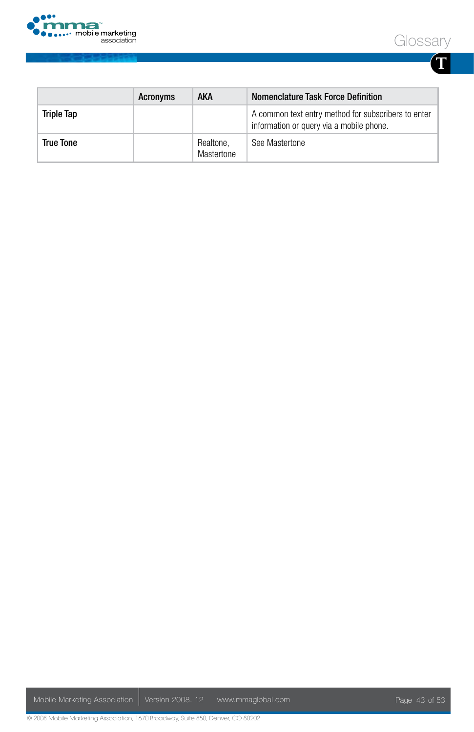



**T**

|            | Acronyms | AKA                     | Nomenclature Task Force Definition                                                              |
|------------|----------|-------------------------|-------------------------------------------------------------------------------------------------|
| Triple Tap |          |                         | A common text entry method for subscribers to enter<br>information or query via a mobile phone. |
| True Tone  |          | Realtone,<br>Mastertone | See Mastertone                                                                                  |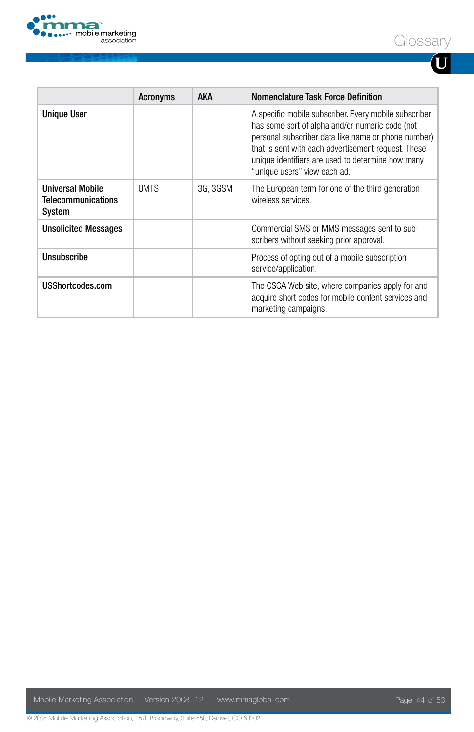

|--|--|

| I<br>I<br>I |  |
|-------------|--|

|                                                                | <b>Acronyms</b> | <b>AKA</b> | Nomenclature Task Force Definition                                                                                                                                                                                                                                                                          |
|----------------------------------------------------------------|-----------------|------------|-------------------------------------------------------------------------------------------------------------------------------------------------------------------------------------------------------------------------------------------------------------------------------------------------------------|
| <b>Unique User</b>                                             |                 |            | A specific mobile subscriber. Every mobile subscriber<br>has some sort of alpha and/or numeric code (not<br>personal subscriber data like name or phone number)<br>that is sent with each advertisement request. These<br>unique identifiers are used to determine how many<br>"unique users" view each ad. |
| <b>Universal Mobile</b><br><b>Telecommunications</b><br>System | <b>UMTS</b>     | 3G, 3GSM   | The European term for one of the third generation<br>wireless services.                                                                                                                                                                                                                                     |
| <b>Unsolicited Messages</b>                                    |                 |            | Commercial SMS or MMS messages sent to sub-<br>scribers without seeking prior approval.                                                                                                                                                                                                                     |
| Unsubscribe                                                    |                 |            | Process of opting out of a mobile subscription<br>service/application.                                                                                                                                                                                                                                      |
| USShortcodes.com                                               |                 |            | The CSCA Web site, where companies apply for and<br>acquire short codes for mobile content services and<br>marketing campaigns.                                                                                                                                                                             |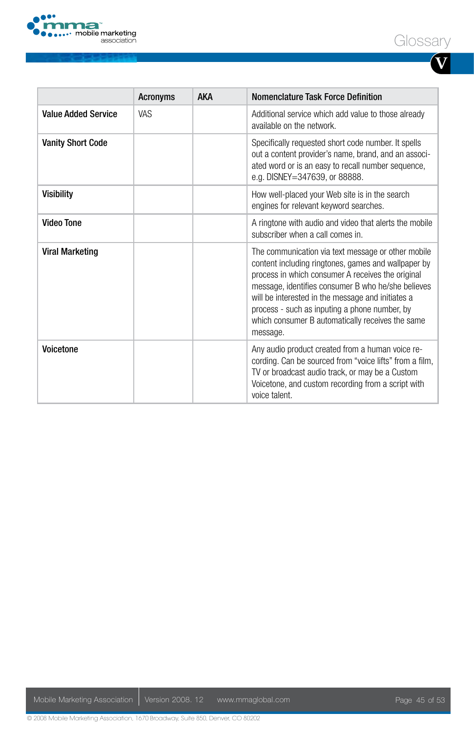



**V**

|                            | <b>Acronyms</b> | <b>AKA</b> | Nomenclature Task Force Definition                                                                                                                                                                                                                                                                                                                                                         |
|----------------------------|-----------------|------------|--------------------------------------------------------------------------------------------------------------------------------------------------------------------------------------------------------------------------------------------------------------------------------------------------------------------------------------------------------------------------------------------|
| <b>Value Added Service</b> | VAS.            |            | Additional service which add value to those already<br>available on the network.                                                                                                                                                                                                                                                                                                           |
| <b>Vanity Short Code</b>   |                 |            | Specifically requested short code number. It spells<br>out a content provider's name, brand, and an associ-<br>ated word or is an easy to recall number sequence,<br>e.g. DISNEY=347639, or 88888.                                                                                                                                                                                         |
| Visibility                 |                 |            | How well-placed your Web site is in the search<br>engines for relevant keyword searches.                                                                                                                                                                                                                                                                                                   |
| <b>Video Tone</b>          |                 |            | A ringtone with audio and video that alerts the mobile<br>subscriber when a call comes in.                                                                                                                                                                                                                                                                                                 |
| <b>Viral Marketing</b>     |                 |            | The communication via text message or other mobile<br>content including ringtones, games and wallpaper by<br>process in which consumer A receives the original<br>message, identifies consumer B who he/she believes<br>will be interested in the message and initiates a<br>process - such as inputing a phone number, by<br>which consumer B automatically receives the same<br>message. |
| Voicetone                  |                 |            | Any audio product created from a human voice re-<br>cording. Can be sourced from "voice lifts" from a film,<br>TV or broadcast audio track, or may be a Custom<br>Voicetone, and custom recording from a script with<br>voice talent.                                                                                                                                                      |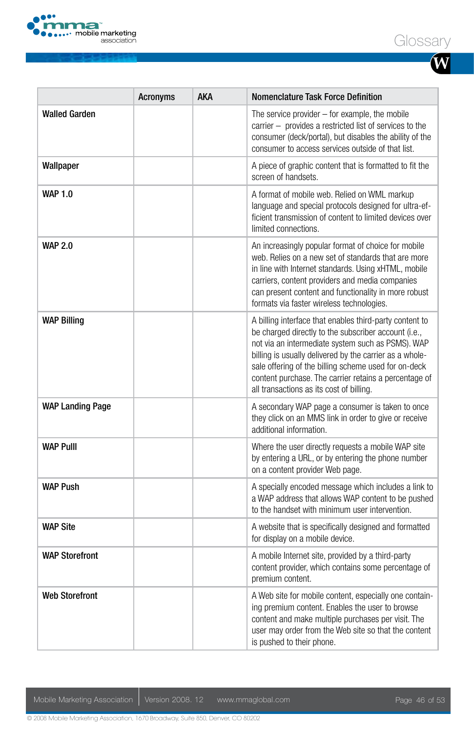

| ົ ໂ |  |
|-----|--|
|-----|--|

|                         | <b>Acronyms</b> | AKA | <b>Nomenclature Task Force Definition</b>                                                                                                                                                                                                                                                                                                                                                    |
|-------------------------|-----------------|-----|----------------------------------------------------------------------------------------------------------------------------------------------------------------------------------------------------------------------------------------------------------------------------------------------------------------------------------------------------------------------------------------------|
| <b>Walled Garden</b>    |                 |     | The service provider $-$ for example, the mobile<br>carrier - provides a restricted list of services to the<br>consumer (deck/portal), but disables the ability of the<br>consumer to access services outside of that list.                                                                                                                                                                  |
| Wallpaper               |                 |     | A piece of graphic content that is formatted to fit the<br>screen of handsets.                                                                                                                                                                                                                                                                                                               |
| <b>WAP 1.0</b>          |                 |     | A format of mobile web. Relied on WML markup<br>language and special protocols designed for ultra-ef-<br>ficient transmission of content to limited devices over<br>limited connections.                                                                                                                                                                                                     |
| <b>WAP 2.0</b>          |                 |     | An increasingly popular format of choice for mobile<br>web. Relies on a new set of standards that are more<br>in line with Internet standards. Using xHTML, mobile<br>carriers, content providers and media companies<br>can present content and functionality in more robust<br>formats via faster wireless technologies.                                                                   |
| <b>WAP Billing</b>      |                 |     | A billing interface that enables third-party content to<br>be charged directly to the subscriber account (i.e.,<br>not via an intermediate system such as PSMS). WAP<br>billing is usually delivered by the carrier as a whole-<br>sale offering of the billing scheme used for on-deck<br>content purchase. The carrier retains a percentage of<br>all transactions as its cost of billing. |
| <b>WAP Landing Page</b> |                 |     | A secondary WAP page a consumer is taken to once<br>they click on an MMS link in order to give or receive<br>additional information.                                                                                                                                                                                                                                                         |
| <b>WAP PullI</b>        |                 |     | Where the user directly requests a mobile WAP site<br>by entering a URL, or by entering the phone number<br>on a content provider Web page.                                                                                                                                                                                                                                                  |
| <b>WAP Push</b>         |                 |     | A specially encoded message which includes a link to<br>a WAP address that allows WAP content to be pushed<br>to the handset with minimum user intervention.                                                                                                                                                                                                                                 |
| <b>WAP Site</b>         |                 |     | A website that is specifically designed and formatted<br>for display on a mobile device.                                                                                                                                                                                                                                                                                                     |
| <b>WAP Storefront</b>   |                 |     | A mobile Internet site, provided by a third-party<br>content provider, which contains some percentage of<br>premium content.                                                                                                                                                                                                                                                                 |
| <b>Web Storefront</b>   |                 |     | A Web site for mobile content, especially one contain-<br>ing premium content. Enables the user to browse<br>content and make multiple purchases per visit. The<br>user may order from the Web site so that the content<br>is pushed to their phone.                                                                                                                                         |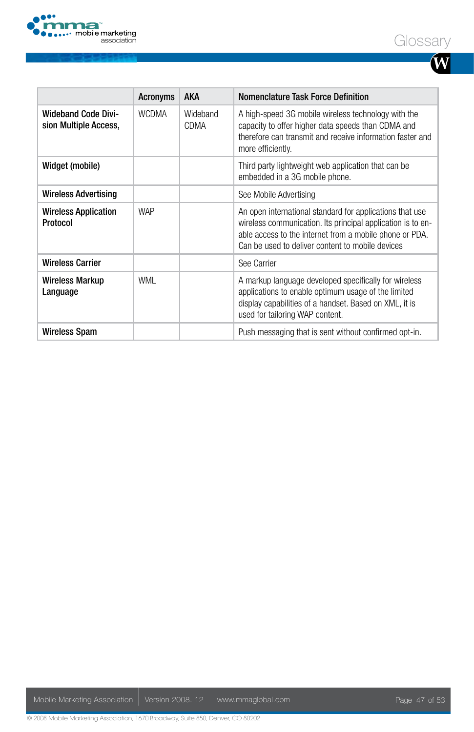



**W**

|                                                     | <b>Acronyms</b> | <b>AKA</b>       | Nomenclature Task Force Definition                                                                                                                                                                                                     |
|-----------------------------------------------------|-----------------|------------------|----------------------------------------------------------------------------------------------------------------------------------------------------------------------------------------------------------------------------------------|
| <b>Wideband Code Divi-</b><br>sion Multiple Access, | <b>WCDMA</b>    | Wideband<br>CDMA | A high-speed 3G mobile wireless technology with the<br>capacity to offer higher data speeds than CDMA and<br>therefore can transmit and receive information faster and<br>more efficiently.                                            |
| Widget (mobile)                                     |                 |                  | Third party lightweight web application that can be<br>embedded in a 3G mobile phone.                                                                                                                                                  |
| <b>Wireless Advertising</b>                         |                 |                  | See Mobile Advertising                                                                                                                                                                                                                 |
| <b>Wireless Application</b><br>Protocol             | <b>WAP</b>      |                  | An open international standard for applications that use<br>wireless communication. Its principal application is to en-<br>able access to the internet from a mobile phone or PDA.<br>Can be used to deliver content to mobile devices |
| <b>Wireless Carrier</b>                             |                 |                  | See Carrier                                                                                                                                                                                                                            |
| Wireless Markup<br>Language                         | WML             |                  | A markup language developed specifically for wireless<br>applications to enable optimum usage of the limited<br>display capabilities of a handset. Based on XML, it is<br>used for tailoring WAP content.                              |
| Wireless Spam                                       |                 |                  | Push messaging that is sent without confirmed opt-in.                                                                                                                                                                                  |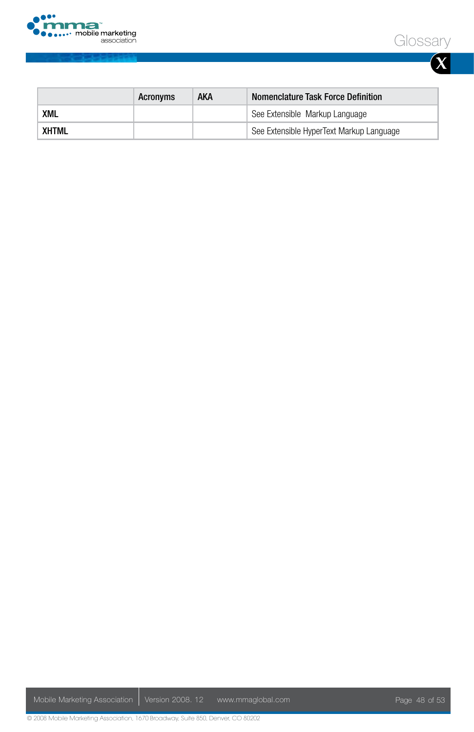



| I |  |
|---|--|

|       | Acronyms | AKA | Nomenclature Task Force Definition       |
|-------|----------|-----|------------------------------------------|
| XML   |          |     | See Extensible Markup Language           |
| XHTML |          |     | See Extensible HyperText Markup Language |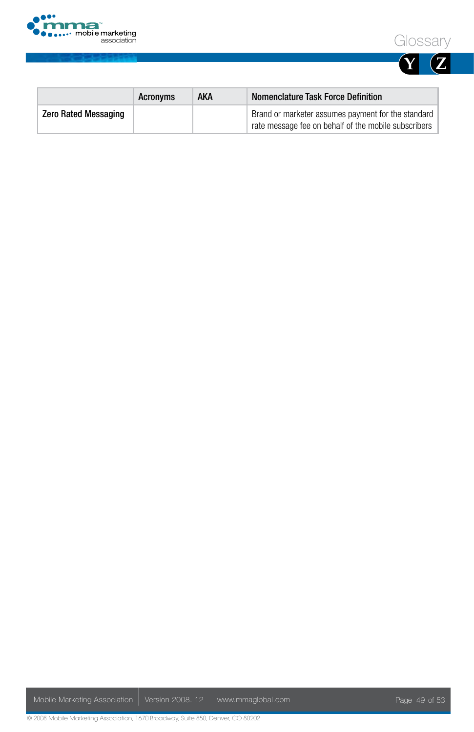





|                             | Acronyms | AKA | Nomenclature Task Force Definition                                                                         |
|-----------------------------|----------|-----|------------------------------------------------------------------------------------------------------------|
| <b>Zero Rated Messaging</b> |          |     | Brand or marketer assumes payment for the standard<br>rate message fee on behalf of the mobile subscribers |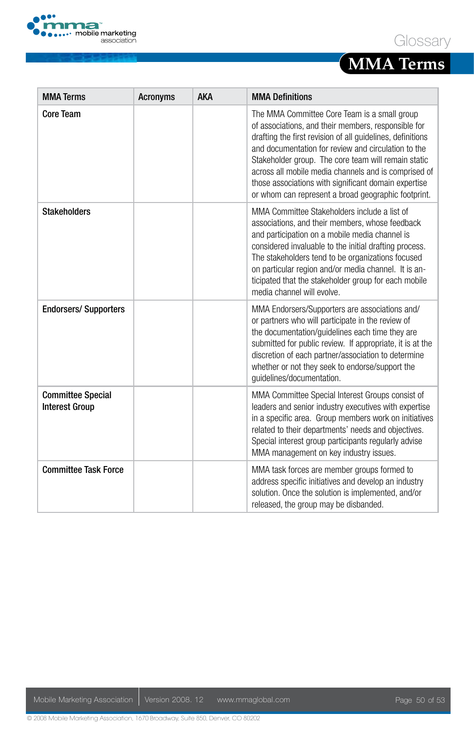

## **MMA Terms**

| <b>MMA Terms</b>                                  | <b>Acronyms</b> | <b>AKA</b> | <b>MMA Definitions</b>                                                                                                                                                                                                                                                                                                                                                                                                                                 |
|---------------------------------------------------|-----------------|------------|--------------------------------------------------------------------------------------------------------------------------------------------------------------------------------------------------------------------------------------------------------------------------------------------------------------------------------------------------------------------------------------------------------------------------------------------------------|
| Core Team                                         |                 |            | The MMA Committee Core Team is a small group<br>of associations, and their members, responsible for<br>drafting the first revision of all quidelines, definitions<br>and documentation for review and circulation to the<br>Stakeholder group. The core team will remain static<br>across all mobile media channels and is comprised of<br>those associations with significant domain expertise<br>or whom can represent a broad geographic footprint. |
| <b>Stakeholders</b>                               |                 |            | MMA Committee Stakeholders include a list of<br>associations, and their members, whose feedback<br>and participation on a mobile media channel is<br>considered invaluable to the initial drafting process.<br>The stakeholders tend to be organizations focused<br>on particular region and/or media channel. It is an-<br>ticipated that the stakeholder group for each mobile<br>media channel will evolve.                                         |
| <b>Endorsers/ Supporters</b>                      |                 |            | MMA Endorsers/Supporters are associations and/<br>or partners who will participate in the review of<br>the documentation/quidelines each time they are<br>submitted for public review. If appropriate, it is at the<br>discretion of each partner/association to determine<br>whether or not they seek to endorse/support the<br>quidelines/documentation.                                                                                             |
| <b>Committee Special</b><br><b>Interest Group</b> |                 |            | MMA Committee Special Interest Groups consist of<br>leaders and senior industry executives with expertise<br>in a specific area. Group members work on initiatives<br>related to their departments' needs and objectives.<br>Special interest group participants regularly advise<br>MMA management on key industry issues.                                                                                                                            |
| <b>Committee Task Force</b>                       |                 |            | MMA task forces are member groups formed to<br>address specific initiatives and develop an industry<br>solution. Once the solution is implemented, and/or<br>released, the group may be disbanded.                                                                                                                                                                                                                                                     |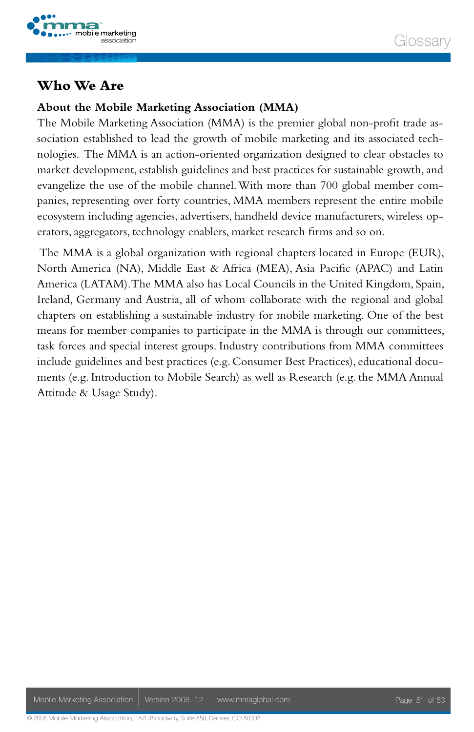

#### **Who We Are**

#### **About the Mobile Marketing Association (MMA)**

The Mobile Marketing Association (MMA) is the premier global non-profit trade association established to lead the growth of mobile marketing and its associated technologies. The MMA is an action-oriented organization designed to clear obstacles to market development, establish guidelines and best practices for sustainable growth, and evangelize the use of the mobile channel. With more than 700 global member companies, representing over forty countries, MMA members represent the entire mobile ecosystem including agencies, advertisers, handheld device manufacturers, wireless operators, aggregators, technology enablers, market research firms and so on.

 The MMA is a global organization with regional chapters located in Europe (EUR), North America (NA), Middle East & Africa (MEA), Asia Pacific (APAC) and Latin America (LATAM). The MMA also has Local Councils in the United Kingdom, Spain, Ireland, Germany and Austria, all of whom collaborate with the regional and global chapters on establishing a sustainable industry for mobile marketing. One of the best means for member companies to participate in the MMA is through our committees, task forces and special interest groups. Industry contributions from MMA committees include guidelines and best practices (e.g. Consumer Best Practices), educational documents (e.g. Introduction to Mobile Search) as well as Research (e.g. the MMA Annual Attitude & Usage Study).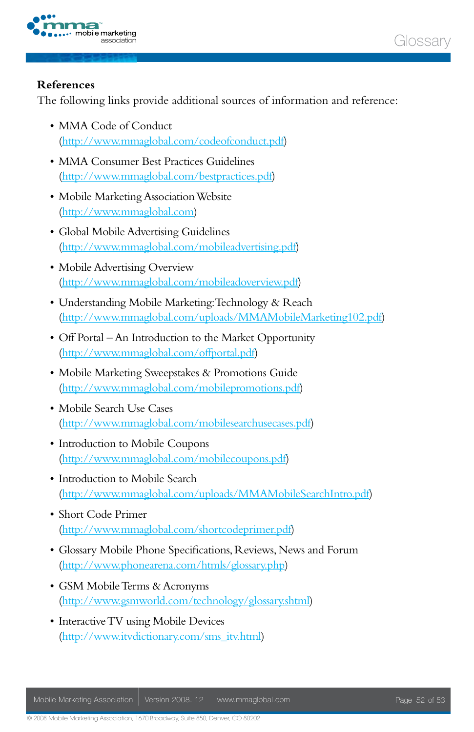



#### **References**

The following links provide additional sources of information and reference:

- MMA Code of Conduct (http://www.mmaglobal.com/codeofconduct.pdf)
- MMA Consumer Best Practices Guidelines (http://www.mmaglobal.com/bestpractices.pdf)
- • Mobile Marketing Association Website (http://www.mmaglobal.com)
- • Global Mobile Advertising Guidelines (http://www.mmaglobal.com/mobileadvertising.pdf)
- Mobile Advertising Overview (http://www.mmaglobal.com/mobileadoverview.pdf)
- • Understanding Mobile Marketing: Technology & Reach (http://www.mmaglobal.com/uploads/MMAMobileMarketing102.pdf)
- Off Portal An Introduction to the Market Opportunity (http://www.mmaglobal.com/offportal.pdf)
- • Mobile Marketing Sweepstakes & Promotions Guide (http://www.mmaglobal.com/mobilepromotions.pdf)
- Mobile Search Use Cases (http://www.mmaglobal.com/mobilesearchusecases.pdf)
- Introduction to Mobile Coupons (http://www.mmaglobal.com/mobilecoupons.pdf)
- Introduction to Mobile Search (http://www.mmaglobal.com/uploads/MMAMobileSearchIntro.pdf)
- • Short Code Primer (http://www.mmaglobal.com/shortcodeprimer.pdf)
- • Glossary Mobile Phone Specifications, Reviews, News and Forum (http://www.phonearena.com/htmls/glossary.php)
- • GSM Mobile Terms & Acronyms (http://www.gsmworld.com/technology/glossary.shtml)
- Interactive TV using Mobile Devices (http://www.itvdictionary.com/sms\_itv.html)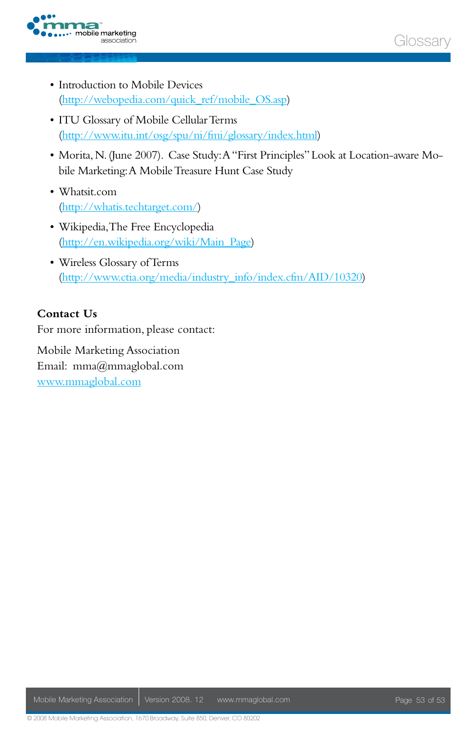



- Introduction to Mobile Devices (http://webopedia.com/quick\_ref/mobile\_OS.asp)
- • ITU Glossary of Mobile Cellular Terms (http://www.itu.int/osg/spu/ni/fmi/glossary/index.html)
- • Morita, N. (June 2007). Case Study: A "First Principles" Look at Location-aware Mobile Marketing: A Mobile Treasure Hunt Case Study
- • Whatsit.com (http://whatis.techtarget.com/)
- • Wikipedia, The Free Encyclopedia (http://en.wikipedia.org/wiki/Main\_Page)
- • Wireless Glossary of Terms (http://www.ctia.org/media/industry\_info/index.cfm/AID/10320)

#### **Contact Us**

For more information, please contact:

Mobile Marketing Association Email: mma@mmaglobal.com www.mmaglobal.com